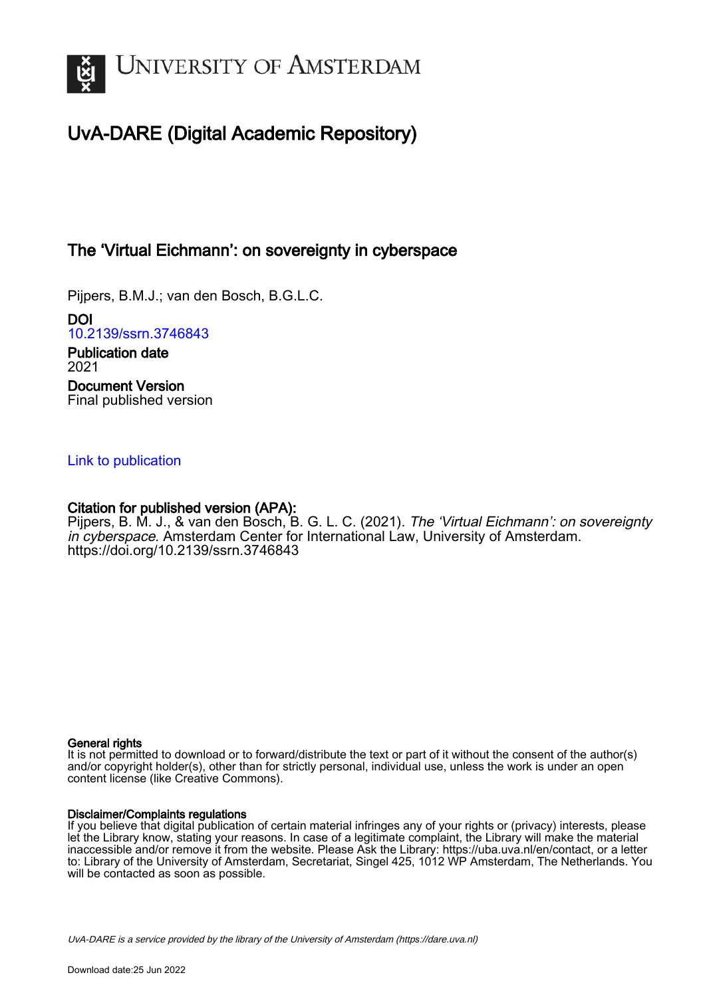

# UvA-DARE (Digital Academic Repository)

## The 'Virtual Eichmann': on sovereignty in cyberspace

Pijpers, B.M.J.; van den Bosch, B.G.L.C.

DOI [10.2139/ssrn.3746843](https://doi.org/10.2139/ssrn.3746843) Publication date 2021

Document Version Final published version

## [Link to publication](https://dare.uva.nl/personal/pure/en/publications/the-virtual-eichmann-on-sovereignty-in-cyberspace(3a2a1736-2a4f-48a6-ba3d-e1a80c56223f).html)

### Citation for published version (APA):

Pijpers, B. M. J., & van den Bosch, B. G. L. C. (2021). The 'Virtual Eichmann': on sovereignty in cyberspace. Amsterdam Center for International Law, University of Amsterdam. <https://doi.org/10.2139/ssrn.3746843>

#### General rights

It is not permitted to download or to forward/distribute the text or part of it without the consent of the author(s) and/or copyright holder(s), other than for strictly personal, individual use, unless the work is under an open content license (like Creative Commons).

#### Disclaimer/Complaints regulations

If you believe that digital publication of certain material infringes any of your rights or (privacy) interests, please let the Library know, stating your reasons. In case of a legitimate complaint, the Library will make the material inaccessible and/or remove it from the website. Please Ask the Library: https://uba.uva.nl/en/contact, or a letter to: Library of the University of Amsterdam, Secretariat, Singel 425, 1012 WP Amsterdam, The Netherlands. You will be contacted as soon as possible.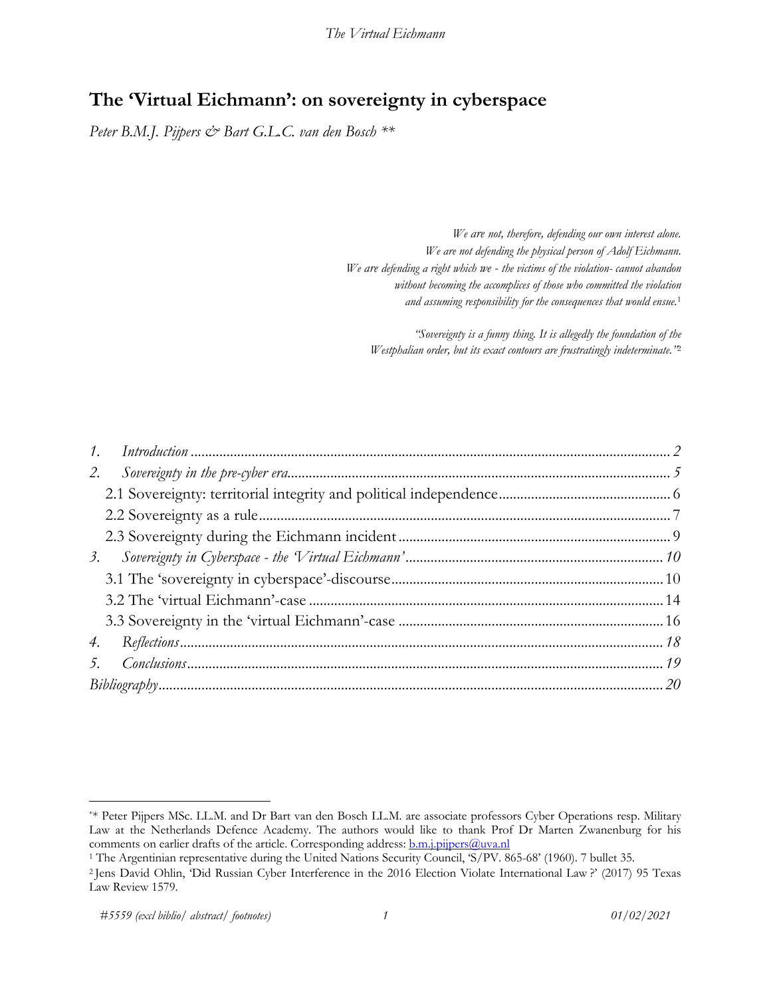## **The 'Virtual Eichmann': on sovereignty in cyberspace**

*Peter B.M.J. Pijpers & Bart G.L.C. van den Bosch \*\**

*We are not, therefore, defending our own interest alone. We are not defending the physical person of Adolf Eichmann. We are defending a right which we - the victims of the violation- cannot abandon without becoming the accomplices of those who committed the violation and assuming responsibility for the consequences that would ensue.*<sup>1</sup>

*"Sovereignty is a funny thing. It is allegedly the foundation of the Westphalian order, but its exact contours are frustratingly indeterminate."*<sup>2</sup>

<sup>\*\*</sup> Peter Pijpers MSc. LL.M. and Dr Bart van den Bosch LL.M. are associate professors Cyber Operations resp. Military Law at the Netherlands Defence Academy. The authors would like to thank Prof Dr Marten Zwanenburg for his comments on earlier drafts of the article. Corresponding address: **b.m.j.pijpers@uva.nl** 1 The Argentinian representative during the United Nations Security Council, 'S/PV. 865-68' (1960). 7 bullet 35.

<sup>&</sup>lt;sup>2</sup> Jens David Ohlin, 'Did Russian Cyber Interference in the 2016 Election Violate International Law?' (2017) 95 Texas Law Review 1579.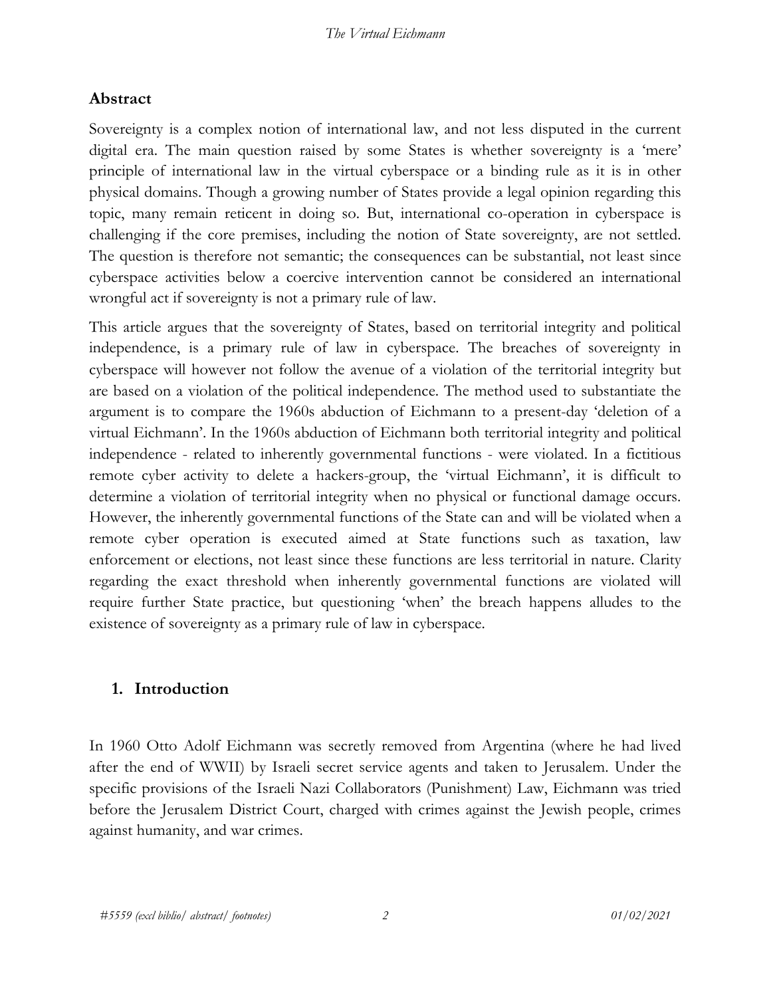## **Abstract**

Sovereignty is a complex notion of international law, and not less disputed in the current digital era. The main question raised by some States is whether sovereignty is a 'mere' principle of international law in the virtual cyberspace or a binding rule as it is in other physical domains. Though a growing number of States provide a legal opinion regarding this topic, many remain reticent in doing so. But, international co-operation in cyberspace is challenging if the core premises, including the notion of State sovereignty, are not settled. The question is therefore not semantic; the consequences can be substantial, not least since cyberspace activities below a coercive intervention cannot be considered an international wrongful act if sovereignty is not a primary rule of law.

This article argues that the sovereignty of States, based on territorial integrity and political independence, is a primary rule of law in cyberspace. The breaches of sovereignty in cyberspace will however not follow the avenue of a violation of the territorial integrity but are based on a violation of the political independence. The method used to substantiate the argument is to compare the 1960s abduction of Eichmann to a present-day 'deletion of a virtual Eichmann'. In the 1960s abduction of Eichmann both territorial integrity and political independence - related to inherently governmental functions - were violated. In a fictitious remote cyber activity to delete a hackers-group, the 'virtual Eichmann', it is difficult to determine a violation of territorial integrity when no physical or functional damage occurs. However, the inherently governmental functions of the State can and will be violated when a remote cyber operation is executed aimed at State functions such as taxation, law enforcement or elections, not least since these functions are less territorial in nature. Clarity regarding the exact threshold when inherently governmental functions are violated will require further State practice, but questioning 'when' the breach happens alludes to the existence of sovereignty as a primary rule of law in cyberspace.

### **1. Introduction**

In 1960 Otto Adolf Eichmann was secretly removed from Argentina (where he had lived after the end of WWII) by Israeli secret service agents and taken to Jerusalem. Under the specific provisions of the Israeli Nazi Collaborators (Punishment) Law, Eichmann was tried before the Jerusalem District Court, charged with crimes against the Jewish people, crimes against humanity, and war crimes.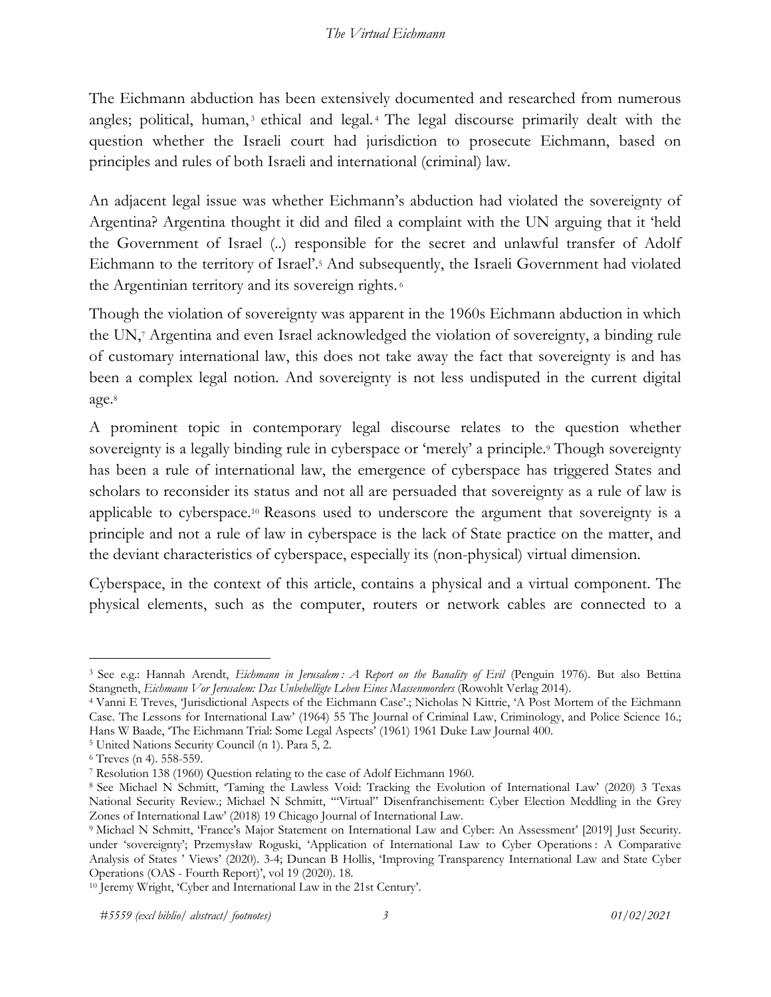The Eichmann abduction has been extensively documented and researched from numerous angles; political, human,<sup>3</sup> ethical and legal.<sup>4</sup> The legal discourse primarily dealt with the question whether the Israeli court had jurisdiction to prosecute Eichmann, based on principles and rules of both Israeli and international (criminal) law.

An adjacent legal issue was whether Eichmann's abduction had violated the sovereignty of Argentina? Argentina thought it did and filed a complaint with the UN arguing that it 'held the Government of Israel (..) responsible for the secret and unlawful transfer of Adolf Eichmann to the territory of Israel'.5 And subsequently, the Israeli Government had violated the Argentinian territory and its sovereign rights. <sup>6</sup>

Though the violation of sovereignty was apparent in the 1960s Eichmann abduction in which the UN,7 Argentina and even Israel acknowledged the violation of sovereignty, a binding rule of customary international law, this does not take away the fact that sovereignty is and has been a complex legal notion. And sovereignty is not less undisputed in the current digital age.8

A prominent topic in contemporary legal discourse relates to the question whether sovereignty is a legally binding rule in cyberspace or 'merely' a principle.<sup>9</sup> Though sovereignty has been a rule of international law, the emergence of cyberspace has triggered States and scholars to reconsider its status and not all are persuaded that sovereignty as a rule of law is applicable to cyberspace.10 Reasons used to underscore the argument that sovereignty is a principle and not a rule of law in cyberspace is the lack of State practice on the matter, and the deviant characteristics of cyberspace, especially its (non-physical) virtual dimension.

Cyberspace, in the context of this article, contains a physical and a virtual component. The physical elements, such as the computer, routers or network cables are connected to a

<sup>3</sup> See e.g.: Hannah Arendt, *Eichmann in Jerusalem : A Report on the Banality of Evil* (Penguin 1976). But also Bettina Stangneth, *Eichmann Vor Jerusalem: Das Unbehelligte Leben Eines Massenmorders* (Rowohlt Verlag 2014).

<sup>4</sup> Vanni E Treves, 'Jurisdictional Aspects of the Eichmann Case'.; Nicholas N Kittrie, 'A Post Mortem of the Eichmann Case. The Lessons for International Law' (1964) 55 The Journal of Criminal Law, Criminology, and Police Science 16.; Hans W Baade, 'The Eichmann Trial: Some Legal Aspects' (1961) 1961 Duke Law Journal 400.

<sup>5</sup> United Nations Security Council (n 1). Para 5, 2. 6 Treves (n 4). 558-559. 7 Resolution 138 (1960) Question relating to the case of Adolf Eichmann 1960.

<sup>8</sup> See Michael N Schmitt, 'Taming the Lawless Void: Tracking the Evolution of International Law' (2020) 3 Texas National Security Review.; Michael N Schmitt, '"Virtual" Disenfranchisement: Cyber Election Meddling in the Grey Zones of International Law' (2018) 19 Chicago Journal of International Law.

<sup>9</sup> Michael N Schmitt, 'France's Major Statement on International Law and Cyber: An Assessment' [2019] Just Security. under 'sovereignty'; Przemysław Roguski, 'Application of International Law to Cyber Operations : A Comparative Analysis of States ' Views' (2020). 3-4; Duncan B Hollis, 'Improving Transparency International Law and State Cyber Operations (OAS - Fourth Report)', vol 19 (2020). 18. 10 Jeremy Wright, 'Cyber and International Law in the 21st Century'.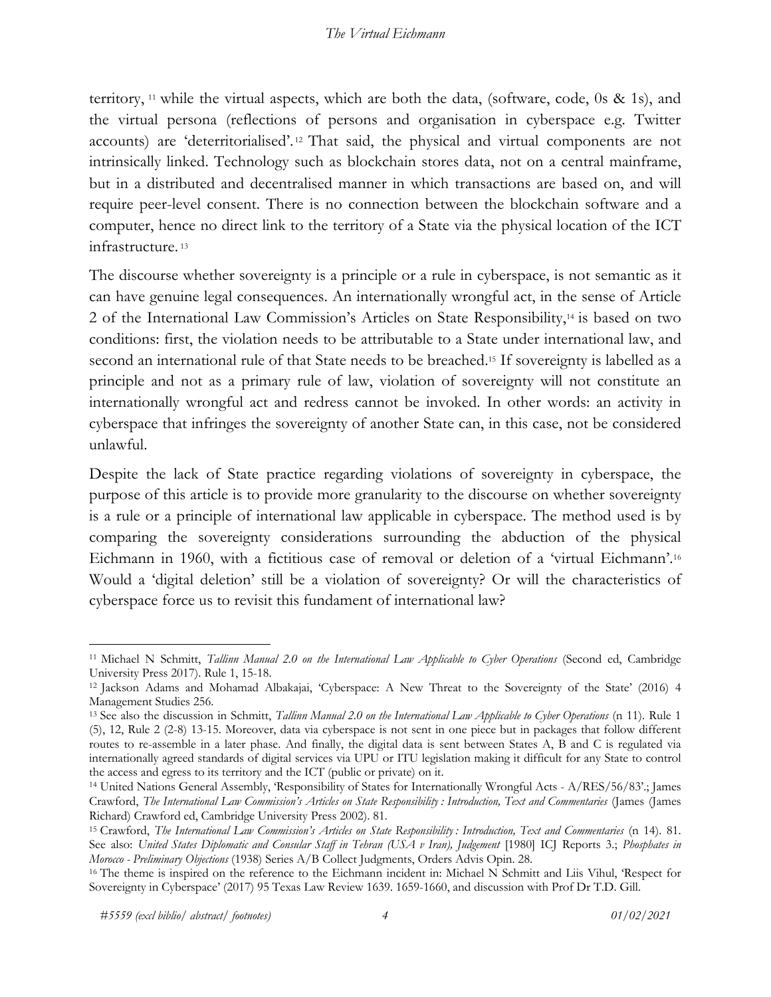territory, 11 while the virtual aspects, which are both the data, (software, code, 0s & 1s), and the virtual persona (reflections of persons and organisation in cyberspace e.g. Twitter accounts) are 'deterritorialised'. <sup>12</sup> That said, the physical and virtual components are not intrinsically linked. Technology such as blockchain stores data, not on a central mainframe, but in a distributed and decentralised manner in which transactions are based on, and will require peer-level consent. There is no connection between the blockchain software and a computer, hence no direct link to the territory of a State via the physical location of the ICT infrastructure. <sup>13</sup>

The discourse whether sovereignty is a principle or a rule in cyberspace, is not semantic as it can have genuine legal consequences. An internationally wrongful act, in the sense of Article 2 of the International Law Commission's Articles on State Responsibility,14 is based on two conditions: first, the violation needs to be attributable to a State under international law, and second an international rule of that State needs to be breached.<sup>15</sup> If sovereignty is labelled as a principle and not as a primary rule of law, violation of sovereignty will not constitute an internationally wrongful act and redress cannot be invoked. In other words: an activity in cyberspace that infringes the sovereignty of another State can, in this case, not be considered unlawful.

Despite the lack of State practice regarding violations of sovereignty in cyberspace, the purpose of this article is to provide more granularity to the discourse on whether sovereignty is a rule or a principle of international law applicable in cyberspace. The method used is by comparing the sovereignty considerations surrounding the abduction of the physical Eichmann in 1960, with a fictitious case of removal or deletion of a 'virtual Eichmann'.16 Would a 'digital deletion' still be a violation of sovereignty? Or will the characteristics of cyberspace force us to revisit this fundament of international law?

<sup>11</sup> Michael N Schmitt, *Tallinn Manual 2.0 on the International Law Applicable to Cyber Operations* (Second ed, Cambridge University Press 2017). Rule 1, 15-18.<br><sup>12</sup> Jackson Adams and Mohamad Albakajai, 'Cyberspace: A New Threat to the Sovereignty of the State' (2016) 4

Management Studies 256.

<sup>13</sup> See also the discussion in Schmitt, *Tallinn Manual 2.0 on the International Law Applicable to Cyber Operations* (n 11). Rule 1 (5), 12, Rule 2 (2-8) 13-15. Moreover, data via cyberspace is not sent in one piece but in packages that follow different routes to re-assemble in a later phase. And finally, the digital data is sent between States A, B and C is regulated via internationally agreed standards of digital services via UPU or ITU legislation making it difficult for any State to control the access and egress to its territory and the ICT (public or private) on it.

<sup>14</sup> United Nations General Assembly, 'Responsibility of States for Internationally Wrongful Acts - A/RES/56/83'.; James Crawford, *The International Law Commission's Articles on State Responsibility : Introduction, Text and Commentaries* (James (James Richard) Crawford ed, Cambridge University Press 2002). 81.<br><sup>15</sup> Crawford, *The International Law Commission's Articles on State Responsibility : Introduction, Text and Commentaries (n 14). 81.* 

See also: *United States Diplomatic and Consular Staff in Tehran (USA v Iran), Judgement* [1980] ICJ Reports 3.; *Phosphates in*<br>Morocco - Preliminary Objections (1938) Series A/B Collect Judgments, Orders Advis Opin. 28.

<sup>&</sup>lt;sup>16</sup> The theme is inspired on the reference to the Eichmann incident in: Michael N Schmitt and Liis Vihul, 'Respect for Sovereignty in Cyberspace' (2017) 95 Texas Law Review 1639. 1659-1660, and discussion with Prof Dr T.D. Gill.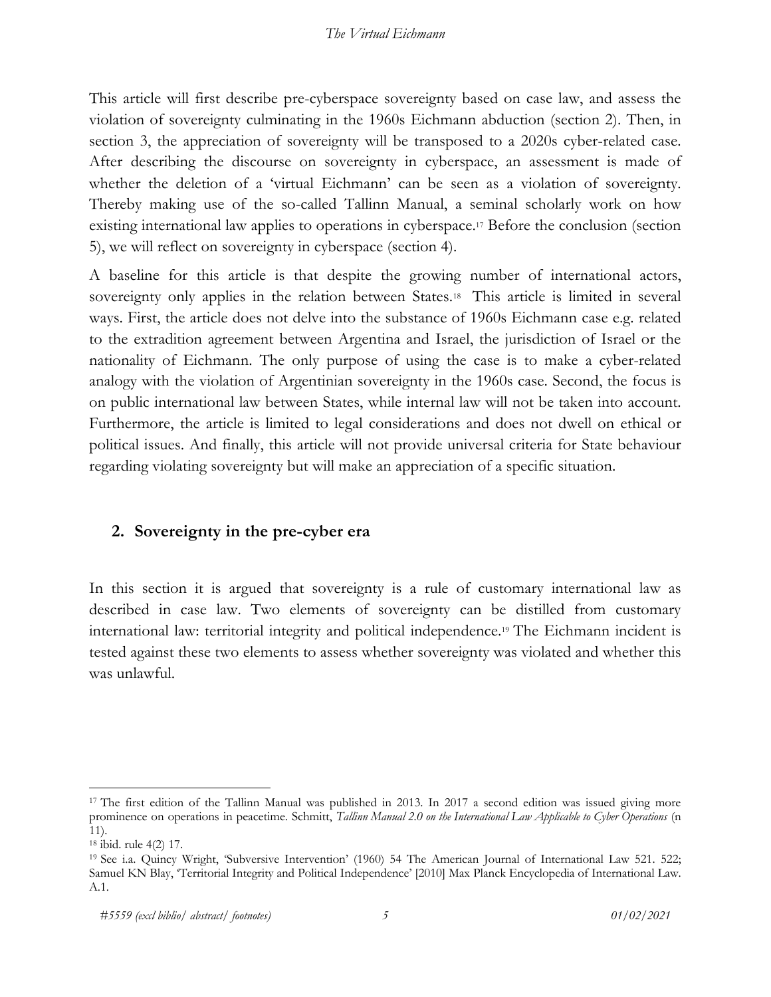This article will first describe pre-cyberspace sovereignty based on case law, and assess the violation of sovereignty culminating in the 1960s Eichmann abduction (section 2). Then, in section 3, the appreciation of sovereignty will be transposed to a 2020s cyber-related case. After describing the discourse on sovereignty in cyberspace, an assessment is made of whether the deletion of a 'virtual Eichmann' can be seen as a violation of sovereignty. Thereby making use of the so-called Tallinn Manual, a seminal scholarly work on how existing international law applies to operations in cyberspace.<sup>17</sup> Before the conclusion (section 5), we will reflect on sovereignty in cyberspace (section 4).

A baseline for this article is that despite the growing number of international actors, sovereignty only applies in the relation between States.<sup>18</sup> This article is limited in several ways. First, the article does not delve into the substance of 1960s Eichmann case e.g. related to the extradition agreement between Argentina and Israel, the jurisdiction of Israel or the nationality of Eichmann. The only purpose of using the case is to make a cyber-related analogy with the violation of Argentinian sovereignty in the 1960s case. Second, the focus is on public international law between States, while internal law will not be taken into account. Furthermore, the article is limited to legal considerations and does not dwell on ethical or political issues. And finally, this article will not provide universal criteria for State behaviour regarding violating sovereignty but will make an appreciation of a specific situation.

## **2. Sovereignty in the pre-cyber era**

In this section it is argued that sovereignty is a rule of customary international law as described in case law. Two elements of sovereignty can be distilled from customary international law: territorial integrity and political independence.19 The Eichmann incident is tested against these two elements to assess whether sovereignty was violated and whether this was unlawful.

<sup>&</sup>lt;sup>17</sup> The first edition of the Tallinn Manual was published in 2013. In 2017 a second edition was issued giving more prominence on operations in peacetime. Schmitt, *Tallinn Manual 2.0 on the International Law Applicable to Cyber Operations* (n 11).

<sup>&</sup>lt;sup>18</sup> ibid. rule 4(2) 17.<br><sup>19</sup> See i.a. Quincy Wright, 'Subversive Intervention' (1960) 54 The American Journal of International Law 521. 522; Samuel KN Blay, 'Territorial Integrity and Political Independence' [2010] Max Planck Encyclopedia of International Law. A.1.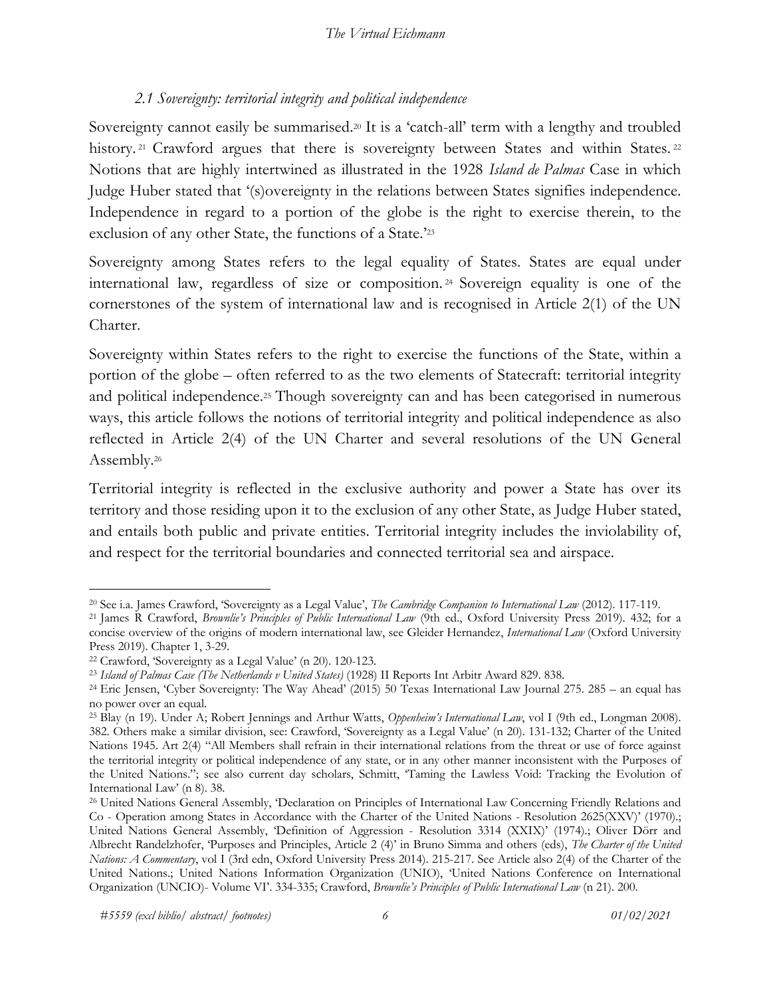## *2.1 Sovereignty: territorial integrity and political independence*

Sovereignty cannot easily be summarised.<sup>20</sup> It is a 'catch-all' term with a lengthy and troubled history.<sup>21</sup> Crawford argues that there is sovereignty between States and within States.<sup>22</sup> Notions that are highly intertwined as illustrated in the 1928 *Island de Palmas* Case in which Judge Huber stated that '(s)overeignty in the relations between States signifies independence. Independence in regard to a portion of the globe is the right to exercise therein, to the exclusion of any other State, the functions of a State.'23

Sovereignty among States refers to the legal equality of States. States are equal under international law, regardless of size or composition. <sup>24</sup> Sovereign equality is one of the cornerstones of the system of international law and is recognised in Article 2(1) of the UN Charter.

Sovereignty within States refers to the right to exercise the functions of the State, within a portion of the globe – often referred to as the two elements of Statecraft: territorial integrity and political independence.25 Though sovereignty can and has been categorised in numerous ways, this article follows the notions of territorial integrity and political independence as also reflected in Article 2(4) of the UN Charter and several resolutions of the UN General Assembly.26

Territorial integrity is reflected in the exclusive authority and power a State has over its territory and those residing upon it to the exclusion of any other State, as Judge Huber stated, and entails both public and private entities. Territorial integrity includes the inviolability of, and respect for the territorial boundaries and connected territorial sea and airspace.

<sup>&</sup>lt;sup>20</sup> See i.a. James Crawford, 'Sovereignty as a Legal Value', *The Cambridge Companion to International Law* (2012). 117-119.<br><sup>21</sup> James R. Crawford, *Brownlie's Principles of Public International Law* (9th ed., Oxford Uni

concise overview of the origins of modern international law, see Gleider Hernandez, *International Law* (Oxford University Press 2019). Chapter 1, 3-29.<br><sup>22</sup> Crawford, 'Sovereignty as a Legal Value' (n 20). 120-123.<br><sup>23</sup> *Island of Palmas Case (The Netherlands v United States)* (1928) II Reports Int Arbitr Award 829. 838.

<sup>24</sup> Eric Jensen, 'Cyber Sovereignty: The Way Ahead' (2015) 50 Texas International Law Journal 275. 285 – an equal has no power over an equal.

<sup>25</sup> Blay (n 19). Under A; Robert Jennings and Arthur Watts, *Oppenheim's International Law*, vol I (9th ed., Longman 2008). 382. Others make a similar division, see: Crawford, 'Sovereignty as a Legal Value' (n 20). 131-132; Charter of the United Nations 1945. Art 2(4) "All Members shall refrain in their international relations from the threat or use of force against the territorial integrity or political independence of any state, or in any other manner inconsistent with the Purposes of the United Nations."; see also current day scholars, Schmitt, 'Taming the Lawless Void: Tracking the Evolution of International Law' (n 8). 38. 26 United Nations General Assembly, 'Declaration on Principles of International Law Concerning Friendly Relations and

Co - Operation among States in Accordance with the Charter of the United Nations - Resolution 2625(XXV)' (1970).; United Nations General Assembly, 'Definition of Aggression - Resolution 3314 (XXIX)' (1974).; Oliver Dörr and Albrecht Randelzhofer, 'Purposes and Principles, Article 2 (4)' in Bruno Simma and others (eds), *The Charter of the United Nations: A Commentary*, vol I (3rd edn, Oxford University Press 2014). 215-217. See Article also 2(4) of the Charter of the United Nations.; United Nations Information Organization (UNIO), 'United Nations Conference on International Organization (UNCIO)- Volume VI'. 334-335; Crawford, *Brownlie's Principles of Public International Law* (n 21). 200.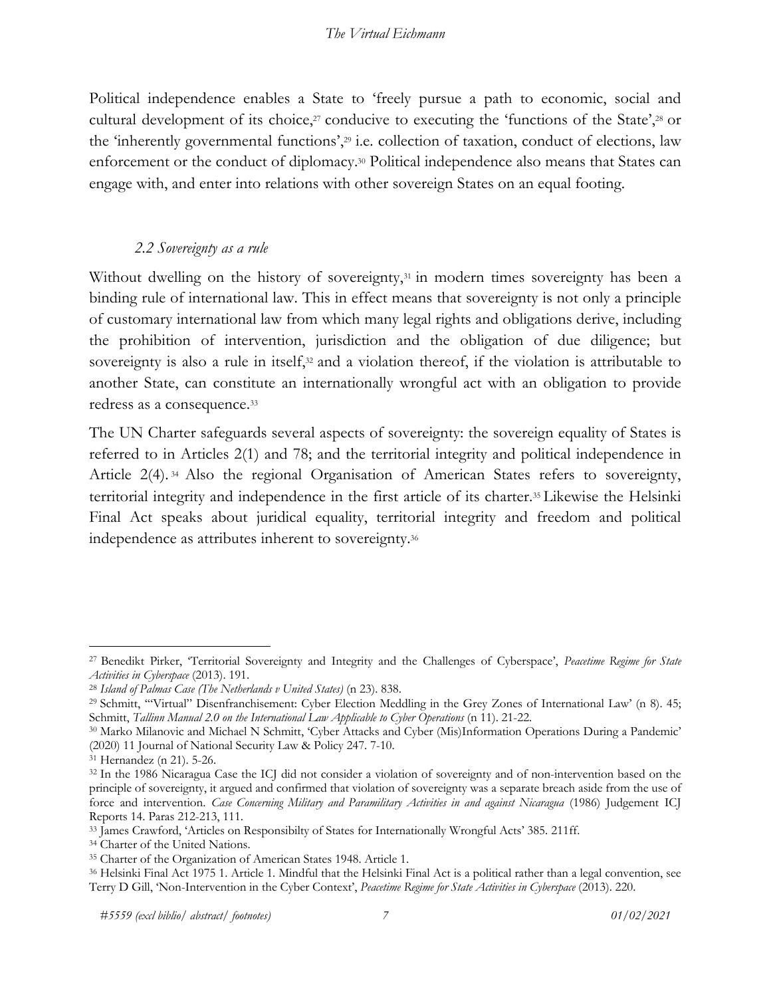Political independence enables a State to 'freely pursue a path to economic, social and cultural development of its choice, $27$  conducive to executing the 'functions of the State', $28$  or the 'inherently governmental functions',29 i.e. collection of taxation, conduct of elections, law enforcement or the conduct of diplomacy.30 Political independence also means that States can engage with, and enter into relations with other sovereign States on an equal footing.

#### *2.2 Sovereignty as a rule*

Without dwelling on the history of sovereignty,<sup>31</sup> in modern times sovereignty has been a binding rule of international law. This in effect means that sovereignty is not only a principle of customary international law from which many legal rights and obligations derive, including the prohibition of intervention, jurisdiction and the obligation of due diligence; but sovereignty is also a rule in itself,<sup>32</sup> and a violation thereof, if the violation is attributable to another State, can constitute an internationally wrongful act with an obligation to provide redress as a consequence.33

The UN Charter safeguards several aspects of sovereignty: the sovereign equality of States is referred to in Articles 2(1) and 78; and the territorial integrity and political independence in Article 2(4). <sup>34</sup> Also the regional Organisation of American States refers to sovereignty, territorial integrity and independence in the first article of its charter.35 Likewise the Helsinki Final Act speaks about juridical equality, territorial integrity and freedom and political independence as attributes inherent to sovereignty.36

<sup>27</sup> Benedikt Pirker, 'Territorial Sovereignty and Integrity and the Challenges of Cyberspace', *Peacetime Regime for State*  Activities in Cyberspace (2013). 191.<br><sup>28</sup> Island of Palmas Case (The Netherlands v United States) (n 23). 838.<br><sup>29</sup> Schmitt, "Virtual" Disenfranchisement: Cyber Election Meddling in the Grey Zones of International Law' (n

Schmitt, *Tallinn Manual 2.0 on the International Law Applicable to Cyber Operations* (n 11). 21-22.<br><sup>30</sup> Marko Milanovic and Michael N Schmitt, 'Cyber Attacks and Cyber (Mis)Information Operations During a Pandemic'

<sup>(2020) 11</sup> Journal of National Security Law & Policy 247. 7-10. 31 Hernandez (n 21). 5-26.

<sup>32</sup> In the 1986 Nicaragua Case the ICJ did not consider a violation of sovereignty and of non-intervention based on the principle of sovereignty, it argued and confirmed that violation of sovereignty was a separate breach aside from the use of force and intervention. *Case Concerning Military and Paramilitary Activities in and against Nicaragua* (1986) Judgement ICJ

<sup>&</sup>lt;sup>33</sup> James Crawford, 'Articles on Responsibilty of States for Internationally Wrongful Acts' 385. 211ff.<br><sup>34</sup> Charter of the United Nations.

<sup>35</sup> Charter of the Organization of American States 1948. Article 1.

<sup>36</sup> Helsinki Final Act 1975 1. Article 1. Mindful that the Helsinki Final Act is a political rather than a legal convention, see Terry D Gill, 'Non-Intervention in the Cyber Context', *Peacetime Regime for State Activities in Cyberspace* (2013). 220.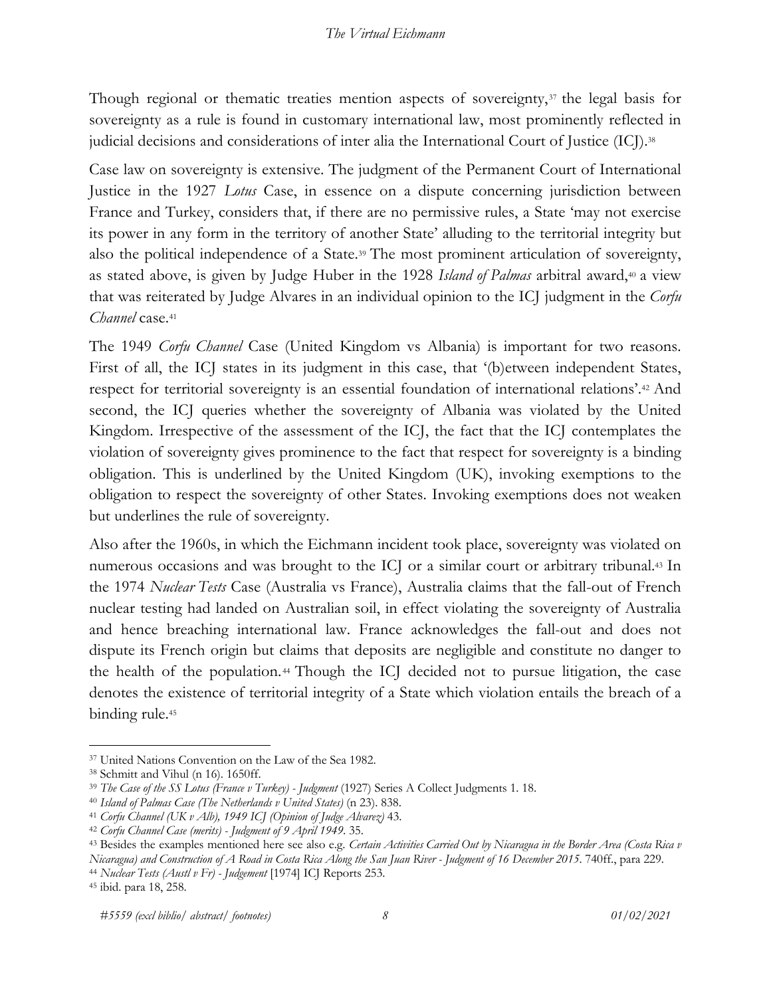Though regional or thematic treaties mention aspects of sovereignty,<sup>37</sup> the legal basis for sovereignty as a rule is found in customary international law, most prominently reflected in judicial decisions and considerations of inter alia the International Court of Justice (ICJ).<sup>38</sup>

Case law on sovereignty is extensive. The judgment of the Permanent Court of International Justice in the 1927 *Lotus* Case, in essence on a dispute concerning jurisdiction between France and Turkey, considers that, if there are no permissive rules, a State 'may not exercise its power in any form in the territory of another State' alluding to the territorial integrity but also the political independence of a State.39 The most prominent articulation of sovereignty, as stated above, is given by Judge Huber in the 1928 *Island of Palmas* arbitral award,<sup>40</sup> a view that was reiterated by Judge Alvares in an individual opinion to the ICJ judgment in the *Corfu Channel* case.41

The 1949 *Corfu Channel* Case (United Kingdom vs Albania) is important for two reasons. First of all, the ICJ states in its judgment in this case, that '(b) etween independent States, respect for territorial sovereignty is an essential foundation of international relations'.42 And second, the ICJ queries whether the sovereignty of Albania was violated by the United Kingdom. Irrespective of the assessment of the ICJ, the fact that the ICJ contemplates the violation of sovereignty gives prominence to the fact that respect for sovereignty is a binding obligation. This is underlined by the United Kingdom (UK), invoking exemptions to the obligation to respect the sovereignty of other States. Invoking exemptions does not weaken but underlines the rule of sovereignty.

Also after the 1960s, in which the Eichmann incident took place, sovereignty was violated on numerous occasions and was brought to the ICJ or a similar court or arbitrary tribunal.43 In the 1974 *Nuclear Tests* Case (Australia vs France), Australia claims that the fall-out of French nuclear testing had landed on Australian soil, in effect violating the sovereignty of Australia and hence breaching international law. France acknowledges the fall-out and does not dispute its French origin but claims that deposits are negligible and constitute no danger to the health of the population.44 Though the ICJ decided not to pursue litigation, the case denotes the existence of territorial integrity of a State which violation entails the breach of a binding rule.<sup>45</sup>

<sup>37</sup> United Nations Convention on the Law of the Sea 1982.

<sup>&</sup>lt;sup>38</sup> Schmitt and Vihul (n 16). 1650ff.<br><sup>39</sup> The Case of the SS Lotus (France v Turkey) - Judgment (1927) Series A Collect Judgments 1. 18.<br><sup>40</sup> Island of Palmas Case (The Netherlands v United States) (n 23). 838.<br><sup>41</sup> Corf

<sup>42</sup> *Corfu Channel Case (merits) - Judgment of 9 April 1949*. 35.

<sup>43</sup> Besides the examples mentioned here see also e.g. *Certain Activities Carried Out by Nicaragua in the Border Area (Costa Rica v Nicaragua) and Construction of A Road in Costa Rica Along the San Juan River - Judgment of 16 December 2015*. 740ff., para 229. 44 *Nuclear Tests (Austl v Fr) - Judgement* [1974] ICJ Reports 253.

<sup>45</sup> ibid. para 18, 258.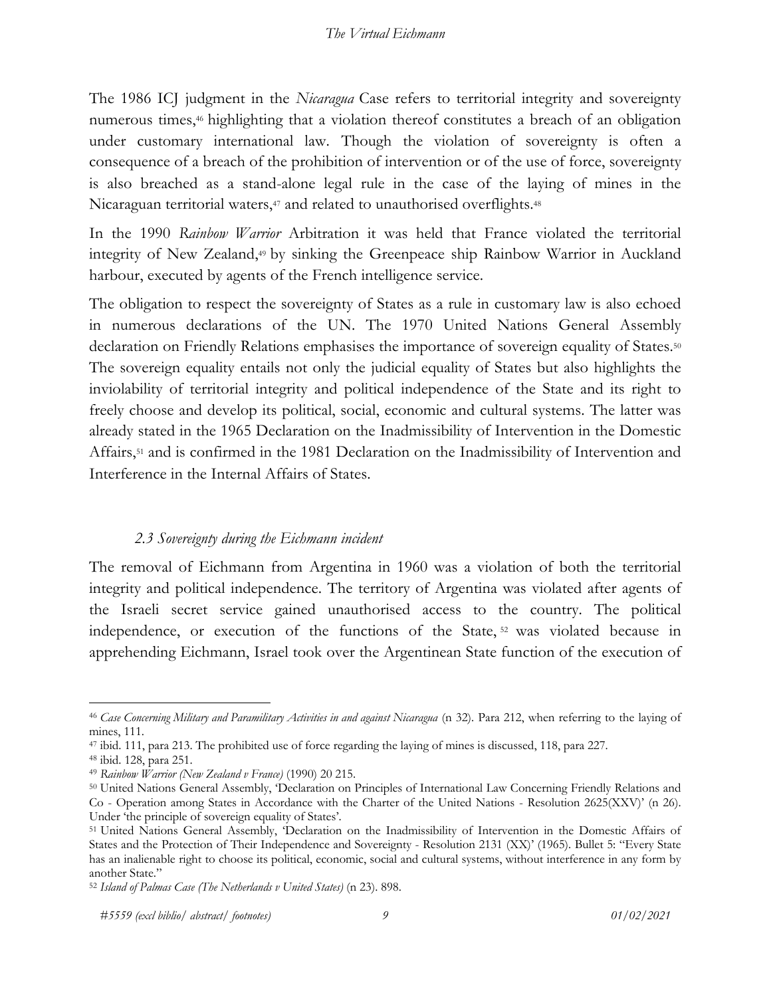The 1986 ICJ judgment in the *Nicaragua* Case refers to territorial integrity and sovereignty numerous times,<sup>46</sup> highlighting that a violation thereof constitutes a breach of an obligation under customary international law. Though the violation of sovereignty is often a consequence of a breach of the prohibition of intervention or of the use of force, sovereignty is also breached as a stand-alone legal rule in the case of the laying of mines in the Nicaraguan territorial waters,<sup>47</sup> and related to unauthorised overflights.<sup>48</sup>

In the 1990 *Rainbow Warrior* Arbitration it was held that France violated the territorial integrity of New Zealand,49 by sinking the Greenpeace ship Rainbow Warrior in Auckland harbour, executed by agents of the French intelligence service.

The obligation to respect the sovereignty of States as a rule in customary law is also echoed in numerous declarations of the UN. The 1970 United Nations General Assembly declaration on Friendly Relations emphasises the importance of sovereign equality of States.<sup>50</sup> The sovereign equality entails not only the judicial equality of States but also highlights the inviolability of territorial integrity and political independence of the State and its right to freely choose and develop its political, social, economic and cultural systems. The latter was already stated in the 1965 Declaration on the Inadmissibility of Intervention in the Domestic Affairs,51 and is confirmed in the 1981 Declaration on the Inadmissibility of Intervention and Interference in the Internal Affairs of States.

### *2.3 Sovereignty during the Eichmann incident*

The removal of Eichmann from Argentina in 1960 was a violation of both the territorial integrity and political independence. The territory of Argentina was violated after agents of the Israeli secret service gained unauthorised access to the country. The political independence, or execution of the functions of the State, <sup>52</sup> was violated because in apprehending Eichmann, Israel took over the Argentinean State function of the execution of

<sup>46</sup> *Case Concerning Military and Paramilitary Activities in and against Nicaragua* (n 32). Para 212, when referring to the laying of mines, 111.

<sup>47</sup> ibid. 111, para 213. The prohibited use of force regarding the laying of mines is discussed, 118, para 227. 48 ibid. 128, para 251. 49 *Rainbow Warrior (New Zealand v France)* (1990) 20 215.

<sup>50</sup> United Nations General Assembly, 'Declaration on Principles of International Law Concerning Friendly Relations and Co - Operation among States in Accordance with the Charter of the United Nations - Resolution 2625(XXV)' (n 26). Under 'the principle of sovereign equality of States'.

<sup>51</sup> United Nations General Assembly, 'Declaration on the Inadmissibility of Intervention in the Domestic Affairs of States and the Protection of Their Independence and Sovereignty - Resolution 2131 (XX)' (1965). Bullet 5: "Every State has an inalienable right to choose its political, economic, social and cultural systems, without interference in any form by another State."

<sup>52</sup> *Island of Palmas Case (The Netherlands v United States)* (n 23). 898.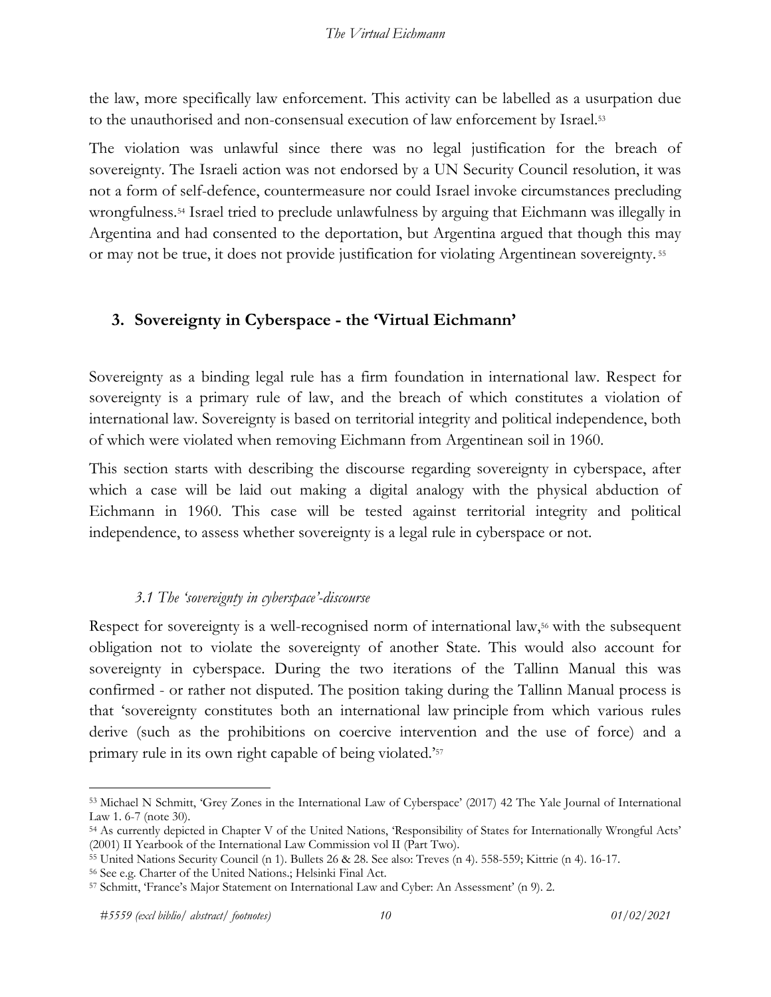the law, more specifically law enforcement. This activity can be labelled as a usurpation due to the unauthorised and non-consensual execution of law enforcement by Israel.53

The violation was unlawful since there was no legal justification for the breach of sovereignty. The Israeli action was not endorsed by a UN Security Council resolution, it was not a form of self-defence, countermeasure nor could Israel invoke circumstances precluding wrongfulness.54 Israel tried to preclude unlawfulness by arguing that Eichmann was illegally in Argentina and had consented to the deportation, but Argentina argued that though this may or may not be true, it does not provide justification for violating Argentinean sovereignty. <sup>55</sup>

## **3. Sovereignty in Cyberspace - the 'Virtual Eichmann'**

Sovereignty as a binding legal rule has a firm foundation in international law. Respect for sovereignty is a primary rule of law, and the breach of which constitutes a violation of international law. Sovereignty is based on territorial integrity and political independence, both of which were violated when removing Eichmann from Argentinean soil in 1960.

This section starts with describing the discourse regarding sovereignty in cyberspace, after which a case will be laid out making a digital analogy with the physical abduction of Eichmann in 1960. This case will be tested against territorial integrity and political independence, to assess whether sovereignty is a legal rule in cyberspace or not.

## *3.1 The 'sovereignty in cyberspace'-discourse*

Respect for sovereignty is a well-recognised norm of international law,<sup>56</sup> with the subsequent obligation not to violate the sovereignty of another State. This would also account for sovereignty in cyberspace. During the two iterations of the Tallinn Manual this was confirmed - or rather not disputed. The position taking during the Tallinn Manual process is that 'sovereignty constitutes both an international law principle from which various rules derive (such as the prohibitions on coercive intervention and the use of force) and a primary rule in its own right capable of being violated.'57

<sup>53</sup> Michael N Schmitt, 'Grey Zones in the International Law of Cyberspace' (2017) 42 The Yale Journal of International Law 1. 6-7 (note 30).<br><sup>54</sup> As currently depicted in Chapter V of the United Nations, 'Responsibility of States for Internationally Wrongful Acts'

<sup>(2001)</sup> II Yearbook of the International Law Commission vol II (Part Two).

<sup>55</sup> United Nations Security Council (n 1). Bullets 26 & 28. See also: Treves (n 4). 558-559; Kittrie (n 4). 16-17. 56 See e.g. Charter of the United Nations.; Helsinki Final Act.

<sup>57</sup> Schmitt, 'France's Major Statement on International Law and Cyber: An Assessment' (n 9). 2.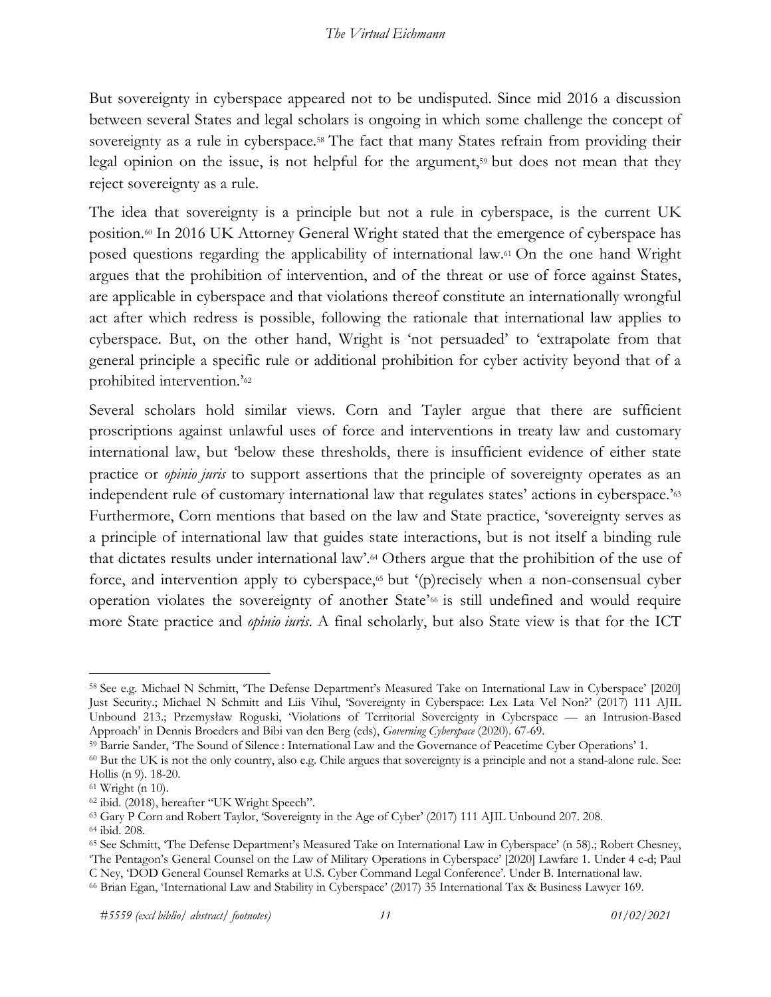But sovereignty in cyberspace appeared not to be undisputed. Since mid 2016 a discussion between several States and legal scholars is ongoing in which some challenge the concept of sovereignty as a rule in cyberspace.<sup>58</sup> The fact that many States refrain from providing their legal opinion on the issue, is not helpful for the argument,<sup>59</sup> but does not mean that they reject sovereignty as a rule.

The idea that sovereignty is a principle but not a rule in cyberspace, is the current UK position.<sup>60</sup> In 2016 UK Attorney General Wright stated that the emergence of cyberspace has posed questions regarding the applicability of international law.61 On the one hand Wright argues that the prohibition of intervention, and of the threat or use of force against States, are applicable in cyberspace and that violations thereof constitute an internationally wrongful act after which redress is possible, following the rationale that international law applies to cyberspace. But, on the other hand, Wright is 'not persuaded' to 'extrapolate from that general principle a specific rule or additional prohibition for cyber activity beyond that of a prohibited intervention.'62

Several scholars hold similar views. Corn and Tayler argue that there are sufficient proscriptions against unlawful uses of force and interventions in treaty law and customary international law, but 'below these thresholds, there is insufficient evidence of either state practice or *opinio juris* to support assertions that the principle of sovereignty operates as an independent rule of customary international law that regulates states' actions in cyberspace.'63 Furthermore, Corn mentions that based on the law and State practice, 'sovereignty serves as a principle of international law that guides state interactions, but is not itself a binding rule that dictates results under international law'.64 Others argue that the prohibition of the use of force, and intervention apply to cyberspace,<sup>65</sup> but '(p)recisely when a non-consensual cyber operation violates the sovereignty of another State'66 is still undefined and would require more State practice and *opinio iuris*. A final scholarly, but also State view is that for the ICT

<sup>58</sup> See e.g. Michael N Schmitt, 'The Defense Department's Measured Take on International Law in Cyberspace' [2020] Just Security.; Michael N Schmitt and Liis Vihul, 'Sovereignty in Cyberspace: Lex Lata Vel Non?' (2017) 111 AJIL Unbound 213.; Przemysław Roguski, 'Violations of Territorial Sovereignty in Cyberspace — an Intrusion-Based Approach' in Dennis Broeders and Bibi van den Berg (eds), *Governing Cyberspace* (2020). 67-69. 59 Barrie Sander, 'The Sound of Silence : International Law and the Governance of Peacetime Cyber Operations' 1.

<sup>60</sup> But the UK is not the only country, also e.g. Chile argues that sovereignty is a principle and not a stand-alone rule. See: Hollis (n 9). 18-20. 61 Wright (n 10).

<sup>&</sup>lt;sup>62</sup> ibid. (2018), hereafter "UK Wright Speech".<br><sup>63</sup> Gary P Corn and Robert Taylor, 'Sovereignty in the Age of Cyber' (2017) 111 AJIL Unbound 207. 208.

<sup>&</sup>lt;sup>64</sup> ibid. 208.<br><sup>65</sup> See Schmitt, 'The Defense Department's Measured Take on International Law in Cyberspace' (n 58).; Robert Chesney, 'The Pentagon's General Counsel on the Law of Military Operations in Cyberspace' [2020] Lawfare 1. Under 4 c-d; Paul C Ney, 'DOD General Counsel Remarks at U.S. Cyber Command Legal Conference'. Under B. International law.

<sup>66</sup> Brian Egan, 'International Law and Stability in Cyberspace' (2017) 35 International Tax & Business Lawyer 169.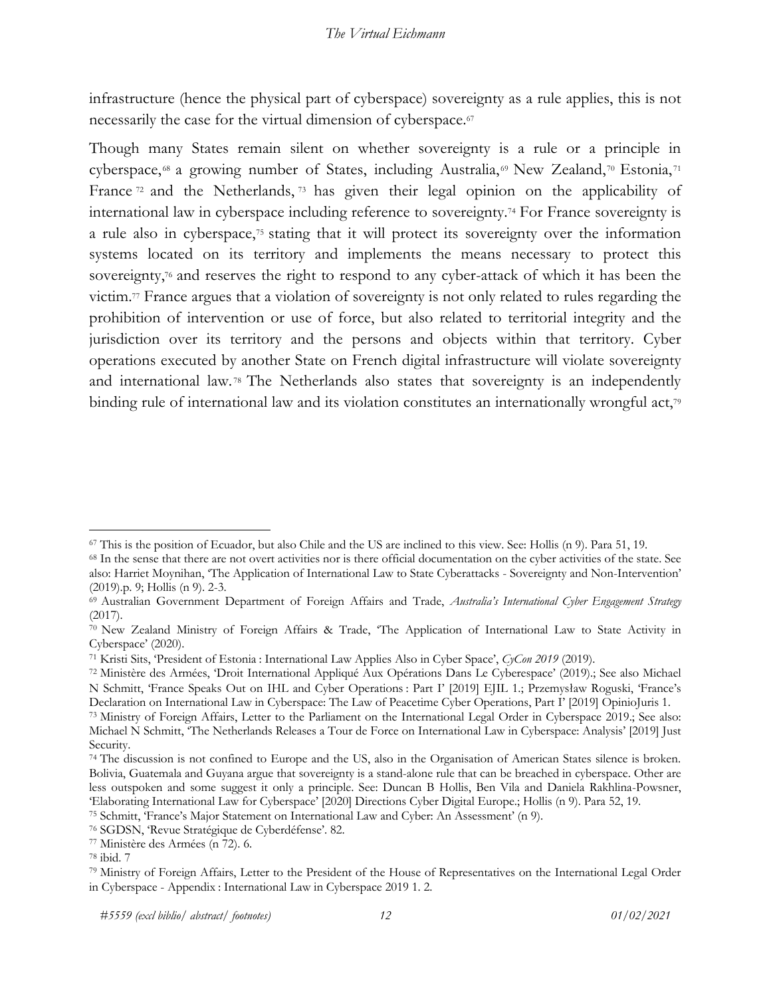infrastructure (hence the physical part of cyberspace) sovereignty as a rule applies, this is not necessarily the case for the virtual dimension of cyberspace.<sup>67</sup>

Though many States remain silent on whether sovereignty is a rule or a principle in cyberspace, 68 a growing number of States, including Australia, 69 New Zealand, 70 Estonia, 71 France<sup>72</sup> and the Netherlands, <sup>73</sup> has given their legal opinion on the applicability of international law in cyberspace including reference to sovereignty.74 For France sovereignty is a rule also in cyberspace,75 stating that it will protect its sovereignty over the information systems located on its territory and implements the means necessary to protect this sovereignty,<sup>76</sup> and reserves the right to respond to any cyber-attack of which it has been the victim.77 France argues that a violation of sovereignty is not only related to rules regarding the prohibition of intervention or use of force, but also related to territorial integrity and the jurisdiction over its territory and the persons and objects within that territory. Cyber operations executed by another State on French digital infrastructure will violate sovereignty and international law. <sup>78</sup> The Netherlands also states that sovereignty is an independently binding rule of international law and its violation constitutes an internationally wrongful act,<sup>79</sup>

<sup>76</sup> SGDSN, 'Revue Stratégique de Cyberdéfense'. 82. 77 Ministère des Armées (n 72). 6.

 $^{67}$  This is the position of Ecuador, but also Chile and the US are inclined to this view. See: Hollis (n 9). Para 51, 19.<br><sup>68</sup> In the sense that there are not overt activities nor is there official documentation on the

also: Harriet Moynihan, 'The Application of International Law to State Cyberattacks - Sovereignty and Non-Intervention' (2019).p. 9; Hollis (n 9). 2-3.<br><sup>69</sup> Australian Government Department of Foreign Affairs and Trade, *Australia's International Cyber Engagement Strategy* 

<sup>(2017).</sup>

<sup>70</sup> New Zealand Ministry of Foreign Affairs & Trade, 'The Application of International Law to State Activity in Cyberspace' (2020).

<sup>71</sup> Kristi Sits, 'President of Estonia : International Law Applies Also in Cyber Space', *CyCon 2019* (2019).

<sup>72</sup> Ministère des Armées, 'Droit International Appliqué Aux Opérations Dans Le Cyberespace' (2019).; See also Michael N Schmitt, 'France Speaks Out on IHL and Cyber Operations : Part I' [2019] EJIL 1.; Przemysław Roguski, 'France's Declaration on International Law in Cyberspace: The Law of Peacetime Cyber Operations, Part I' [2019] OpinioJuris 1.

<sup>73</sup> Ministry of Foreign Affairs, Letter to the Parliament on the International Legal Order in Cyberspace 2019.; See also: Michael N Schmitt, 'The Netherlands Releases a Tour de Force on International Law in Cyberspace: Analysis' [2019] Just Security.

<sup>74</sup> The discussion is not confined to Europe and the US, also in the Organisation of American States silence is broken. Bolivia, Guatemala and Guyana argue that sovereignty is a stand-alone rule that can be breached in cyberspace. Other are less outspoken and some suggest it only a principle. See: Duncan B Hollis, Ben Vila and Daniela Rakhlina-Powsner, 'Elaborating International Law for Cyberspace' [2020] Directions Cyber Digital Europe.; Hollis (n 9). Para 52, 19. 75 Schmitt, 'France's Major Statement on International Law and Cyber: An Assessment' (n 9).

<sup>78</sup> ibid. 7

<sup>79</sup> Ministry of Foreign Affairs, Letter to the President of the House of Representatives on the International Legal Order in Cyberspace - Appendix : International Law in Cyberspace 2019 1. 2.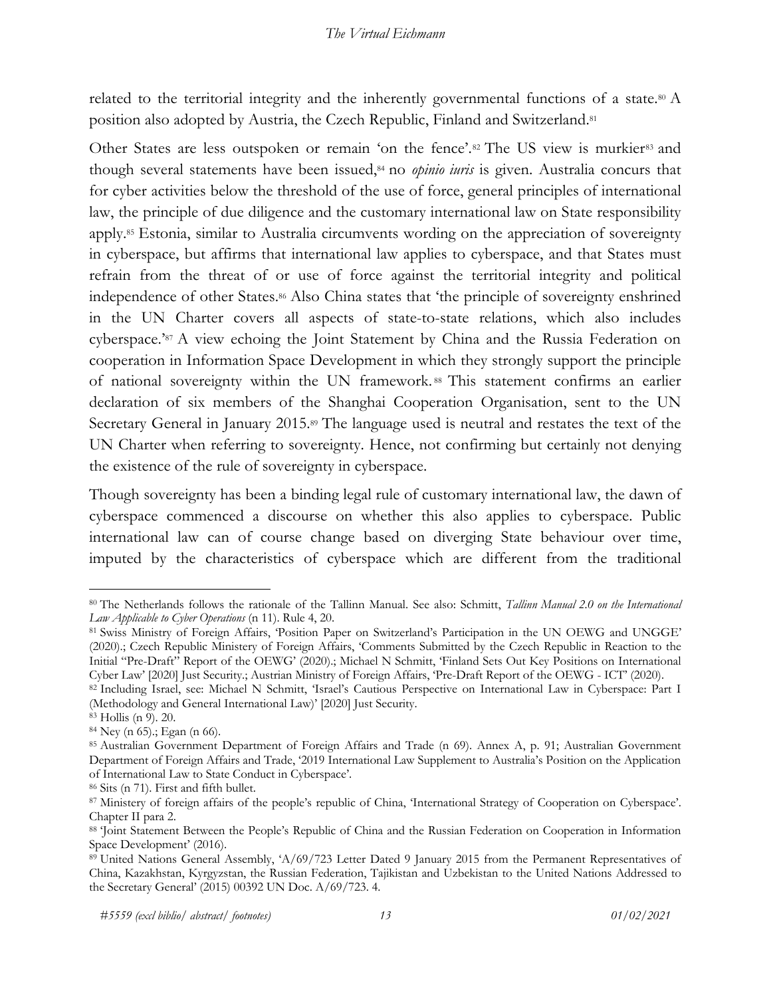related to the territorial integrity and the inherently governmental functions of a state.80 A position also adopted by Austria, the Czech Republic, Finland and Switzerland.<sup>81</sup>

Other States are less outspoken or remain 'on the fence'.<sup>82</sup> The US view is murkier<sup>83</sup> and though several statements have been issued,84 no *opinio iuris* is given. Australia concurs that for cyber activities below the threshold of the use of force, general principles of international law, the principle of due diligence and the customary international law on State responsibility apply.85 Estonia, similar to Australia circumvents wording on the appreciation of sovereignty in cyberspace, but affirms that international law applies to cyberspace, and that States must refrain from the threat of or use of force against the territorial integrity and political independence of other States.86 Also China states that 'the principle of sovereignty enshrined in the UN Charter covers all aspects of state-to-state relations, which also includes cyberspace.'87 A view echoing the Joint Statement by China and the Russia Federation on cooperation in Information Space Development in which they strongly support the principle of national sovereignty within the UN framework. <sup>88</sup> This statement confirms an earlier declaration of six members of the Shanghai Cooperation Organisation, sent to the UN Secretary General in January 2015.<sup>89</sup> The language used is neutral and restates the text of the UN Charter when referring to sovereignty. Hence, not confirming but certainly not denying the existence of the rule of sovereignty in cyberspace.

Though sovereignty has been a binding legal rule of customary international law, the dawn of cyberspace commenced a discourse on whether this also applies to cyberspace. Public international law can of course change based on diverging State behaviour over time, imputed by the characteristics of cyberspace which are different from the traditional

<sup>80</sup> The Netherlands follows the rationale of the Tallinn Manual. See also: Schmitt, *Tallinn Manual 2.0 on the International Law Applicable to Cyber Operations* (n 11). Rule 4, 20.

<sup>81</sup> Swiss Ministry of Foreign Affairs, 'Position Paper on Switzerland's Participation in the UN OEWG and UNGGE' (2020).; Czech Republic Ministery of Foreign Affairs, 'Comments Submitted by the Czech Republic in Reaction to the Initial "Pre-Draft" Report of the OEWG' (2020).; Michael N Schmitt, 'Finland Sets Out Key Positions on International Cyber Law' [2020] Just Security.; Austrian Ministry of Foreign Affairs, 'Pre-Draft Report of the OEWG - ICT' (2020).

<sup>82</sup> Including Israel, see: Michael N Schmitt, 'Israel's Cautious Perspective on International Law in Cyberspace: Part I (Methodology and General International Law)' [2020] Just Security.

<sup>83</sup> Hollis (n 9). 20. 84 Ney (n 65).; Egan (n 66).

<sup>85</sup> Australian Government Department of Foreign Affairs and Trade (n 69). Annex A, p. 91; Australian Government Department of Foreign Affairs and Trade, '2019 International Law Supplement to Australia's Position on the Application of International Law to State Conduct in Cyberspace'.

<sup>87</sup> Ministery of foreign affairs of the people's republic of China, 'International Strategy of Cooperation on Cyberspace'. Chapter II para 2.

<sup>88</sup> 'Joint Statement Between the People's Republic of China and the Russian Federation on Cooperation in Information Space Development' (2016).

<sup>89</sup> United Nations General Assembly, 'A/69/723 Letter Dated 9 January 2015 from the Permanent Representatives of China, Kazakhstan, Kyrgyzstan, the Russian Federation, Tajikistan and Uzbekistan to the United Nations Addressed to the Secretary General' (2015) 00392 UN Doc. A/69/723. 4.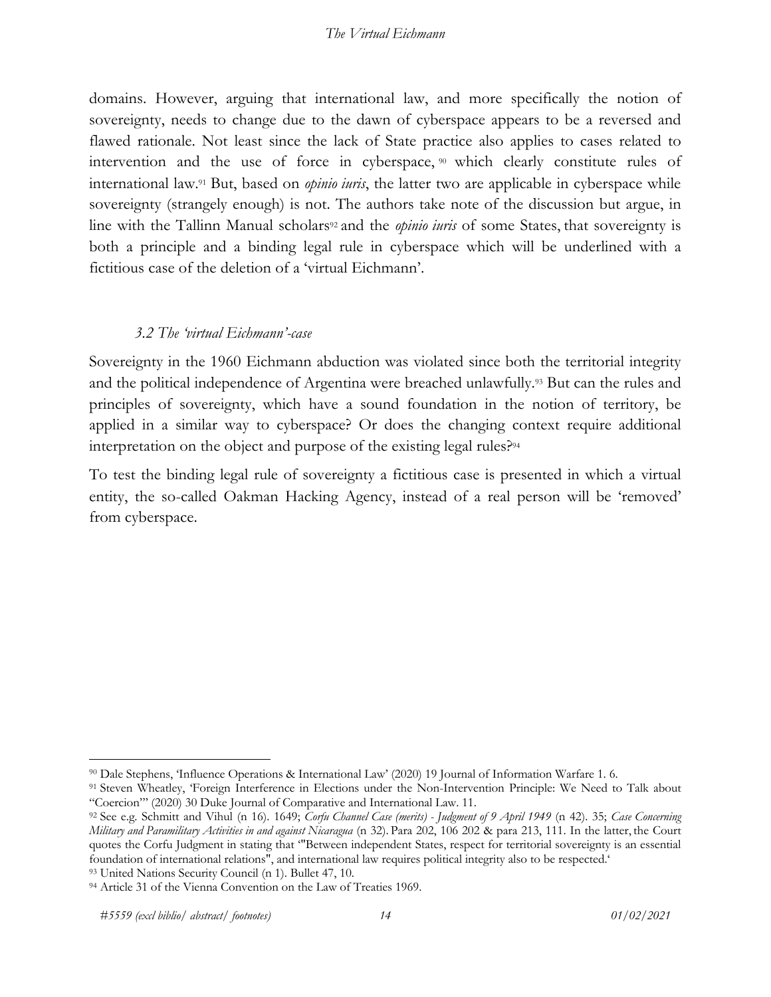domains. However, arguing that international law, and more specifically the notion of sovereignty, needs to change due to the dawn of cyberspace appears to be a reversed and flawed rationale. Not least since the lack of State practice also applies to cases related to intervention and the use of force in cyberspace, <sup>90</sup> which clearly constitute rules of international law.91 But, based on *opinio iuris*, the latter two are applicable in cyberspace while sovereignty (strangely enough) is not. The authors take note of the discussion but argue, in line with the Tallinn Manual scholars<sup>92</sup> and the *opinio iuris* of some States, that sovereignty is both a principle and a binding legal rule in cyberspace which will be underlined with a fictitious case of the deletion of a 'virtual Eichmann'.

### *3.2 The 'virtual Eichmann'-case*

Sovereignty in the 1960 Eichmann abduction was violated since both the territorial integrity and the political independence of Argentina were breached unlawfully.93 But can the rules and principles of sovereignty, which have a sound foundation in the notion of territory, be applied in a similar way to cyberspace? Or does the changing context require additional interpretation on the object and purpose of the existing legal rules?94

To test the binding legal rule of sovereignty a fictitious case is presented in which a virtual entity, the so-called Oakman Hacking Agency, instead of a real person will be 'removed' from cyberspace.

<sup>&</sup>lt;sup>90</sup> Dale Stephens, 'Influence Operations & International Law' (2020) 19 Journal of Information Warfare 1. 6.<br><sup>91</sup> Steven Wheatley, 'Foreign Interference in Elections under the Non-Intervention Principle: We Need to Talk a

<sup>&</sup>lt;sup>92</sup> See e.g. Schmitt and Vihul (n 16). 1649; Corfu Channel Case (merits) - Judgment of 9 April 1949 (n 42). 35; Case Concerning *Military and Paramilitary Activities in and against Nicaragua* (n 32). Para 202, 106 202 & para 213, 111. In the latter, the Court quotes the Corfu Judgment in stating that '"Between independent States, respect for territorial sovereignty is an essential foundation of international relations", and international law requires political integrity also to be respected.<sup>53</sup> United Nations Security Council (n 1). Bullet 47, 10.<br><sup>94</sup> Article 31 of the Vienna Convention on the Law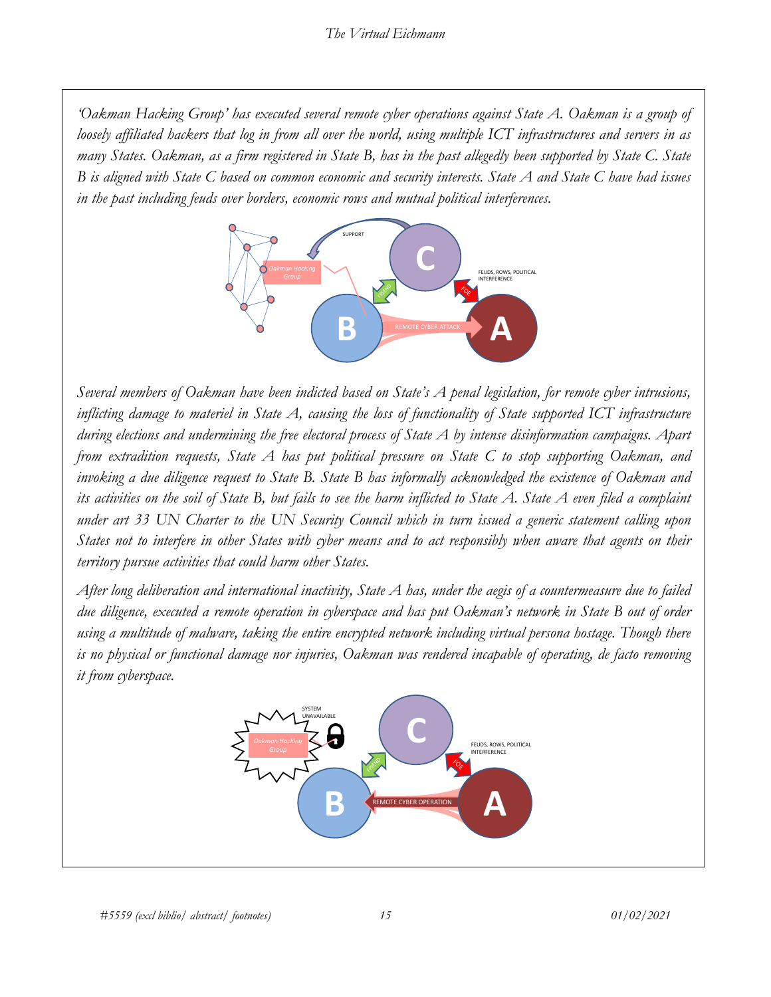*'Oakman Hacking Group' has executed several remote cyber operations against State A. Oakman is a group of loosely affiliated hackers that log in from all over the world, using multiple ICT infrastructures and servers in as many States. Oakman, as a firm registered in State B, has in the past allegedly been supported by State C. State B is aligned with State C based on common economic and security interests. State A and State C have had issues in the past including feuds over borders, economic rows and mutual political interferences.* 



*Several members of Oakman have been indicted based on State's A penal legislation, for remote cyber intrusions, inflicting damage to materiel in State A, causing the loss of functionality of State supported ICT infrastructure during elections and undermining the free electoral process of State A by intense disinformation campaigns. Apart from extradition requests, State A has put political pressure on State C to stop supporting Oakman, and invoking a due diligence request to State B. State B has informally acknowledged the existence of Oakman and its activities on the soil of State B, but fails to see the harm inflicted to State A. State A even filed a complaint under art 33 UN Charter to the UN Security Council which in turn issued a generic statement calling upon States not to interfere in other States with cyber means and to act responsibly when aware that agents on their territory pursue activities that could harm other States.*

*After long deliberation and international inactivity, State A has, under the aegis of a countermeasure due to failed due diligence, executed a remote operation in cyberspace and has put Oakman's network in State B out of order using a multitude of malware, taking the entire encrypted network including virtual persona hostage. Though there is no physical or functional damage nor injuries, Oakman was rendered incapable of operating, de facto removing it from cyberspace.* 

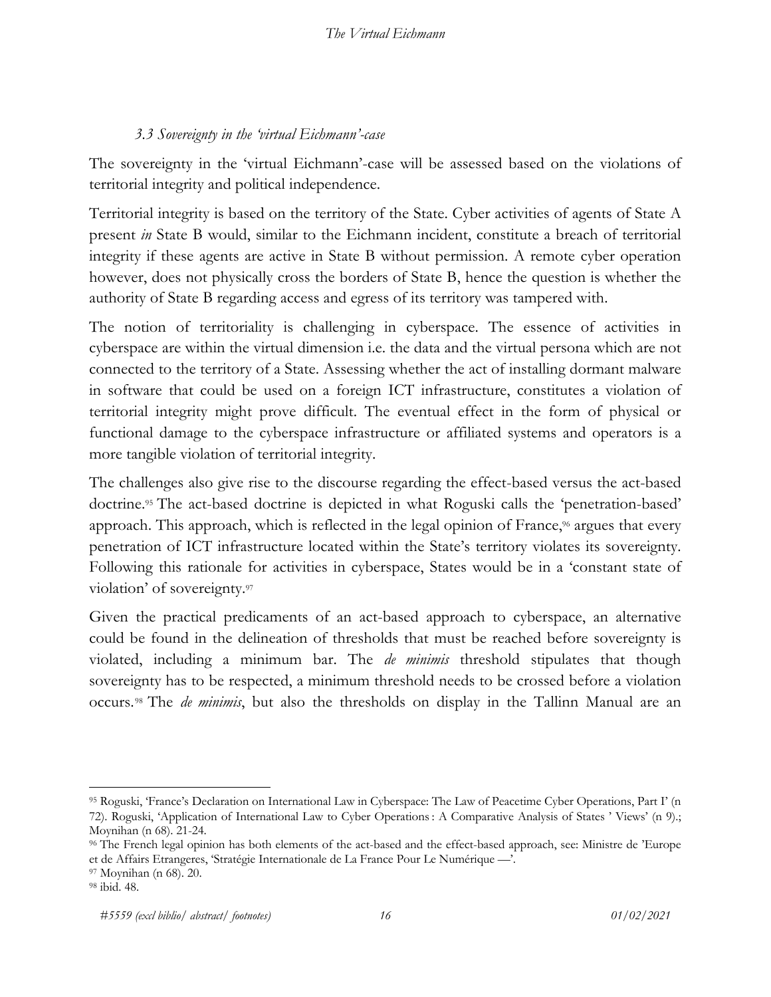## *3.3 Sovereignty in the 'virtual Eichmann'-case*

The sovereignty in the 'virtual Eichmann'-case will be assessed based on the violations of territorial integrity and political independence.

Territorial integrity is based on the territory of the State. Cyber activities of agents of State A present *in* State B would, similar to the Eichmann incident, constitute a breach of territorial integrity if these agents are active in State B without permission. A remote cyber operation however, does not physically cross the borders of State B, hence the question is whether the authority of State B regarding access and egress of its territory was tampered with.

The notion of territoriality is challenging in cyberspace. The essence of activities in cyberspace are within the virtual dimension i.e. the data and the virtual persona which are not connected to the territory of a State. Assessing whether the act of installing dormant malware in software that could be used on a foreign ICT infrastructure, constitutes a violation of territorial integrity might prove difficult. The eventual effect in the form of physical or functional damage to the cyberspace infrastructure or affiliated systems and operators is a more tangible violation of territorial integrity.

The challenges also give rise to the discourse regarding the effect-based versus the act-based doctrine.95 The act-based doctrine is depicted in what Roguski calls the 'penetration-based' approach. This approach, which is reflected in the legal opinion of France,<sup>96</sup> argues that every penetration of ICT infrastructure located within the State's territory violates its sovereignty. Following this rationale for activities in cyberspace, States would be in a 'constant state of violation' of sovereignty.97

Given the practical predicaments of an act-based approach to cyberspace, an alternative could be found in the delineation of thresholds that must be reached before sovereignty is violated, including a minimum bar. The *de minimis* threshold stipulates that though sovereignty has to be respected, a minimum threshold needs to be crossed before a violation occurs.98 The *de minimis*, but also the thresholds on display in the Tallinn Manual are an

<sup>95</sup> Roguski, 'France's Declaration on International Law in Cyberspace: The Law of Peacetime Cyber Operations, Part I' (n 72). Roguski, 'Application of International Law to Cyber Operations : A Comparative Analysis of States ' Views' (n 9).; Moynihan (n 68). 21-24.<br><sup>96</sup> The French legal opinion has both elements of the act-based and the effect-based approach, see: Ministre de 'Europe

et de Affairs Etrangeres, 'Stratégie Internationale de La France Pour Le Numérique —'.

<sup>97</sup> Moynihan (n 68). 20. 98 ibid. 48.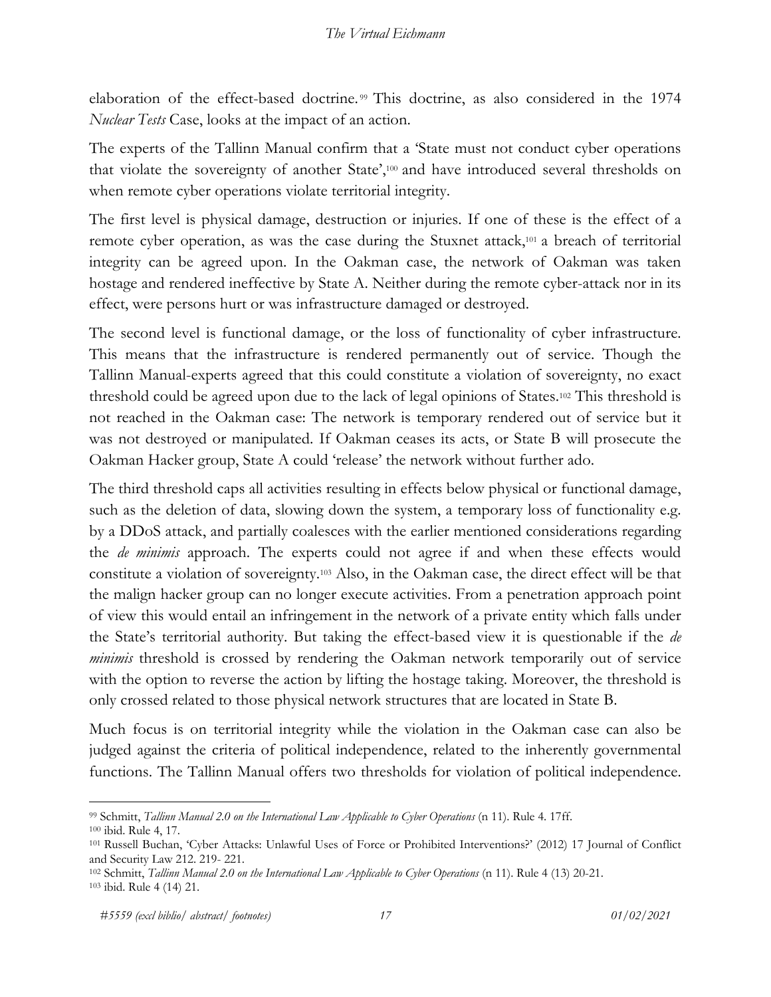elaboration of the effect-based doctrine.<sup>99</sup> This doctrine, as also considered in the 1974 *Nuclear Tests* Case, looks at the impact of an action.

The experts of the Tallinn Manual confirm that a 'State must not conduct cyber operations that violate the sovereignty of another State',100 and have introduced several thresholds on when remote cyber operations violate territorial integrity.

The first level is physical damage, destruction or injuries. If one of these is the effect of a remote cyber operation, as was the case during the Stuxnet attack,<sup>101</sup> a breach of territorial integrity can be agreed upon. In the Oakman case, the network of Oakman was taken hostage and rendered ineffective by State A. Neither during the remote cyber-attack nor in its effect, were persons hurt or was infrastructure damaged or destroyed.

The second level is functional damage, or the loss of functionality of cyber infrastructure. This means that the infrastructure is rendered permanently out of service. Though the Tallinn Manual-experts agreed that this could constitute a violation of sovereignty, no exact threshold could be agreed upon due to the lack of legal opinions of States.102 This threshold is not reached in the Oakman case: The network is temporary rendered out of service but it was not destroyed or manipulated. If Oakman ceases its acts, or State B will prosecute the Oakman Hacker group, State A could 'release' the network without further ado.

The third threshold caps all activities resulting in effects below physical or functional damage, such as the deletion of data, slowing down the system, a temporary loss of functionality e.g. by a DDoS attack, and partially coalesces with the earlier mentioned considerations regarding the *de minimis* approach. The experts could not agree if and when these effects would constitute a violation of sovereignty.103 Also, in the Oakman case, the direct effect will be that the malign hacker group can no longer execute activities. From a penetration approach point of view this would entail an infringement in the network of a private entity which falls under the State's territorial authority. But taking the effect-based view it is questionable if the *de minimis* threshold is crossed by rendering the Oakman network temporarily out of service with the option to reverse the action by lifting the hostage taking. Moreover, the threshold is only crossed related to those physical network structures that are located in State B.

Much focus is on territorial integrity while the violation in the Oakman case can also be judged against the criteria of political independence, related to the inherently governmental functions. The Tallinn Manual offers two thresholds for violation of political independence.

<sup>99</sup> Schmitt, *Tallinn Manual 2.0 on the International Law Applicable to Cyber Operations* (n 11). Rule 4. 17ff.

<sup>100</sup> ibid. Rule 4, 17. 101 Russell Buchan, 'Cyber Attacks: Unlawful Uses of Force or Prohibited Interventions?' (2012) 17 Journal of Conflict

and Security Law 212. 219- 221.<br><sup>102</sup> Schmitt, *Tallinn Manual 2.0 on the International Law Applicable to Cyber Operations* (n 11). Rule 4 (13) 20-21.<br><sup>103</sup> ibid. Rule 4 (14) 21.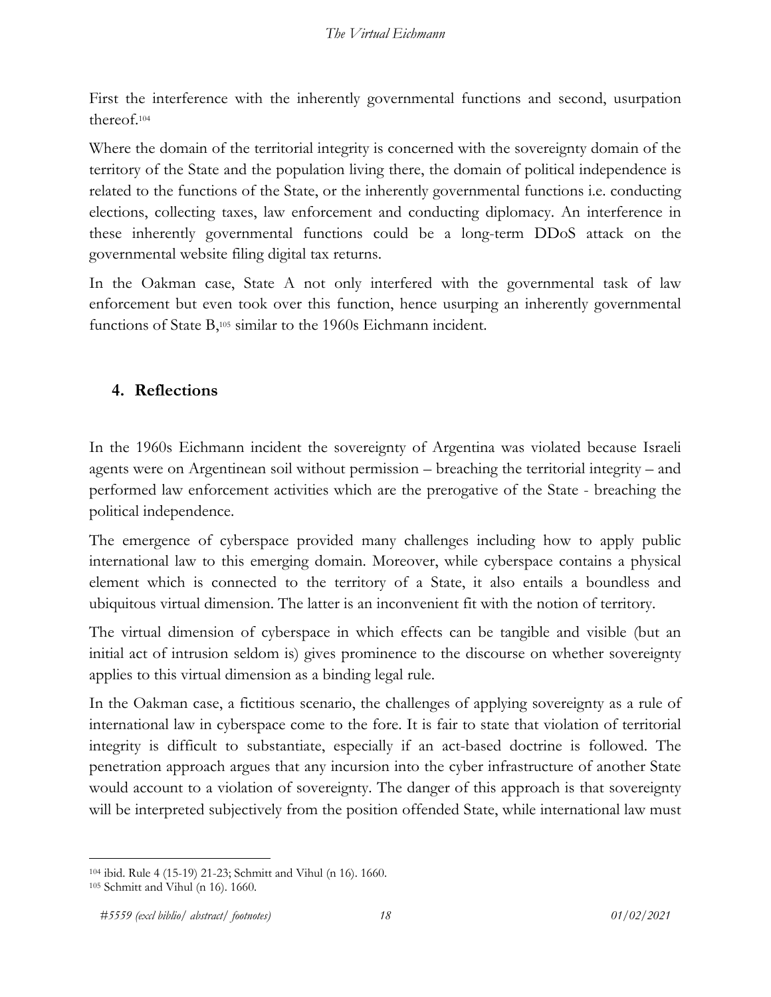First the interference with the inherently governmental functions and second, usurpation thereof.104

Where the domain of the territorial integrity is concerned with the sovereignty domain of the territory of the State and the population living there, the domain of political independence is related to the functions of the State, or the inherently governmental functions i.e. conducting elections, collecting taxes, law enforcement and conducting diplomacy. An interference in these inherently governmental functions could be a long-term DDoS attack on the governmental website filing digital tax returns.

In the Oakman case, State A not only interfered with the governmental task of law enforcement but even took over this function, hence usurping an inherently governmental functions of State B,105 similar to the 1960s Eichmann incident.

## **4. Reflections**

In the 1960s Eichmann incident the sovereignty of Argentina was violated because Israeli agents were on Argentinean soil without permission – breaching the territorial integrity – and performed law enforcement activities which are the prerogative of the State - breaching the political independence.

The emergence of cyberspace provided many challenges including how to apply public international law to this emerging domain. Moreover, while cyberspace contains a physical element which is connected to the territory of a State, it also entails a boundless and ubiquitous virtual dimension. The latter is an inconvenient fit with the notion of territory.

The virtual dimension of cyberspace in which effects can be tangible and visible (but an initial act of intrusion seldom is) gives prominence to the discourse on whether sovereignty applies to this virtual dimension as a binding legal rule.

In the Oakman case, a fictitious scenario, the challenges of applying sovereignty as a rule of international law in cyberspace come to the fore. It is fair to state that violation of territorial integrity is difficult to substantiate, especially if an act-based doctrine is followed. The penetration approach argues that any incursion into the cyber infrastructure of another State would account to a violation of sovereignty. The danger of this approach is that sovereignty will be interpreted subjectively from the position offended State, while international law must

<sup>104</sup> ibid. Rule 4 (15-19) 21-23; Schmitt and Vihul (n 16). 1660. 105 Schmitt and Vihul (n 16). 1660.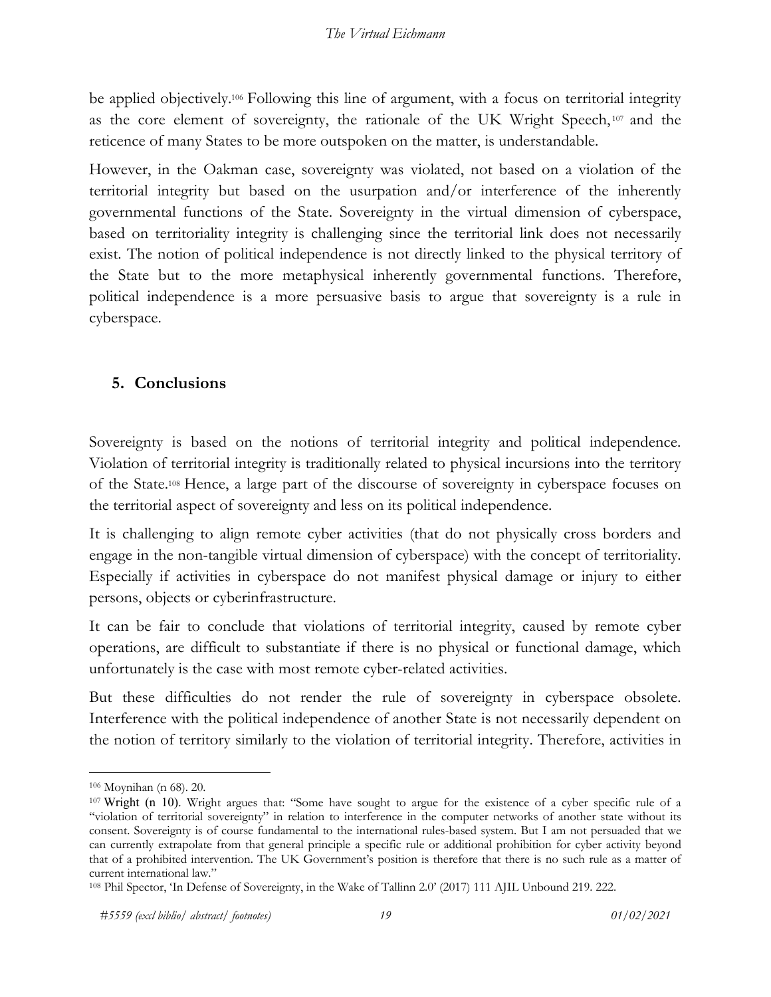be applied objectively.106 Following this line of argument, with a focus on territorial integrity as the core element of sovereignty, the rationale of the UK Wright Speech, <sup>107</sup> and the reticence of many States to be more outspoken on the matter, is understandable.

However, in the Oakman case, sovereignty was violated, not based on a violation of the territorial integrity but based on the usurpation and/or interference of the inherently governmental functions of the State. Sovereignty in the virtual dimension of cyberspace, based on territoriality integrity is challenging since the territorial link does not necessarily exist. The notion of political independence is not directly linked to the physical territory of the State but to the more metaphysical inherently governmental functions. Therefore, political independence is a more persuasive basis to argue that sovereignty is a rule in cyberspace.

## **5. Conclusions**

Sovereignty is based on the notions of territorial integrity and political independence. Violation of territorial integrity is traditionally related to physical incursions into the territory of the State.108 Hence, a large part of the discourse of sovereignty in cyberspace focuses on the territorial aspect of sovereignty and less on its political independence.

It is challenging to align remote cyber activities (that do not physically cross borders and engage in the non-tangible virtual dimension of cyberspace) with the concept of territoriality. Especially if activities in cyberspace do not manifest physical damage or injury to either persons, objects or cyberinfrastructure.

It can be fair to conclude that violations of territorial integrity, caused by remote cyber operations, are difficult to substantiate if there is no physical or functional damage, which unfortunately is the case with most remote cyber-related activities.

But these difficulties do not render the rule of sovereignty in cyberspace obsolete. Interference with the political independence of another State is not necessarily dependent on the notion of territory similarly to the violation of territorial integrity. Therefore, activities in

<sup>&</sup>lt;sup>106</sup> Moynihan (n 68). 20.<br><sup>107</sup> Wright (n 10). Wright argues that: "Some have sought to argue for the existence of a cyber specific rule of a "violation of territorial sovereignty" in relation to interference in the computer networks of another state without its consent. Sovereignty is of course fundamental to the international rules-based system. But I am not persuaded that we can currently extrapolate from that general principle a specific rule or additional prohibition for cyber activity beyond that of a prohibited intervention. The UK Government's position is therefore that there is no such rule as a matter of current international law."

<sup>108</sup> Phil Spector, 'In Defense of Sovereignty, in the Wake of Tallinn 2.0' (2017) 111 AJIL Unbound 219. 222.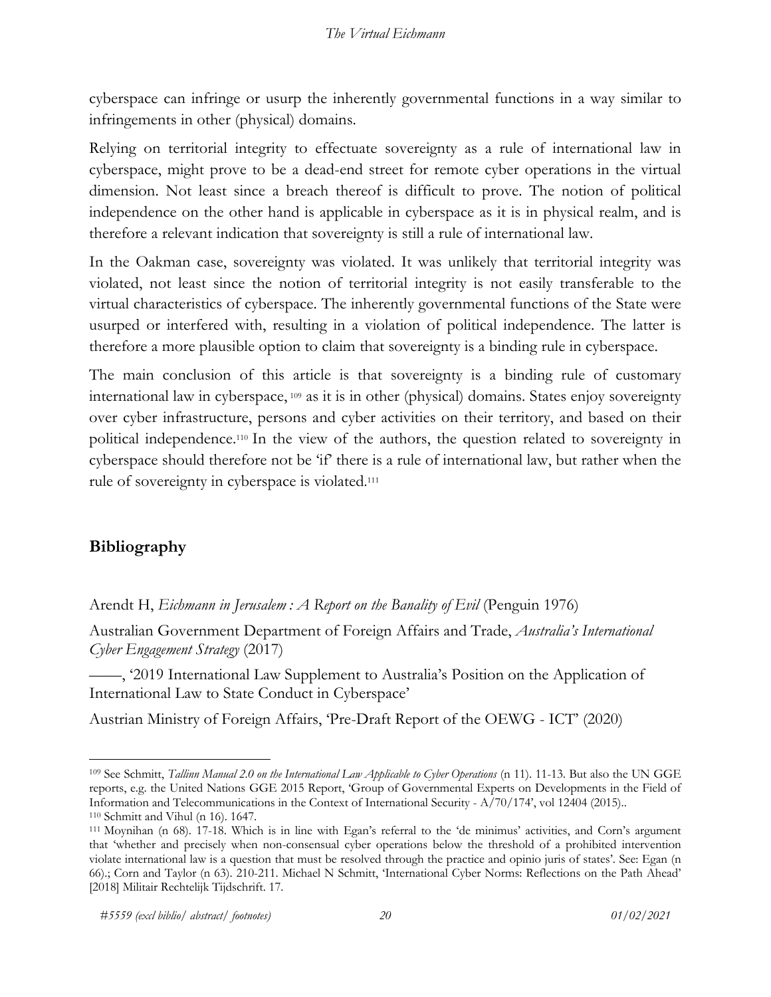cyberspace can infringe or usurp the inherently governmental functions in a way similar to infringements in other (physical) domains.

Relying on territorial integrity to effectuate sovereignty as a rule of international law in cyberspace, might prove to be a dead-end street for remote cyber operations in the virtual dimension. Not least since a breach thereof is difficult to prove. The notion of political independence on the other hand is applicable in cyberspace as it is in physical realm, and is therefore a relevant indication that sovereignty is still a rule of international law.

In the Oakman case, sovereignty was violated. It was unlikely that territorial integrity was violated, not least since the notion of territorial integrity is not easily transferable to the virtual characteristics of cyberspace. The inherently governmental functions of the State were usurped or interfered with, resulting in a violation of political independence. The latter is therefore a more plausible option to claim that sovereignty is a binding rule in cyberspace.

The main conclusion of this article is that sovereignty is a binding rule of customary international law in cyberspace, <sup>109</sup> as it is in other (physical) domains. States enjoy sovereignty over cyber infrastructure, persons and cyber activities on their territory, and based on their political independence.110 In the view of the authors, the question related to sovereignty in cyberspace should therefore not be 'if' there is a rule of international law, but rather when the rule of sovereignty in cyberspace is violated.111

## **Bibliography**

Arendt H, *Eichmann in Jerusalem : A Report on the Banality of Evil* (Penguin 1976)

Australian Government Department of Foreign Affairs and Trade, *Australia's International Cyber Engagement Strategy* (2017)

——, '2019 International Law Supplement to Australia's Position on the Application of International Law to State Conduct in Cyberspace'

Austrian Ministry of Foreign Affairs, 'Pre-Draft Report of the OEWG - ICT' (2020)

<sup>109</sup> See Schmitt, *Tallinn Manual 2.0 on the International Law Applicable to Cyber Operations* (n 11). 11-13. But also the UN GGE reports, e.g. the United Nations GGE 2015 Report, 'Group of Governmental Experts on Developments in the Field of Information and Telecommunications in the Context of International Security - A/70/174', vol 12404 (2015).

<sup>&</sup>lt;sup>110</sup> Schmitt and Vihul (n 16). 1647.<br><sup>111</sup> Moynihan (n 68). 17-18. Which is in line with Egan's referral to the 'de minimus' activities, and Corn's argument that 'whether and precisely when non-consensual cyber operations below the threshold of a prohibited intervention violate international law is a question that must be resolved through the practice and opinio juris of states'. See: Egan (n 66).; Corn and Taylor (n 63). 210-211. Michael N Schmitt, 'International Cyber Norms: Reflections on the Path Ahead' [2018] Militair Rechtelijk Tijdschrift. 17.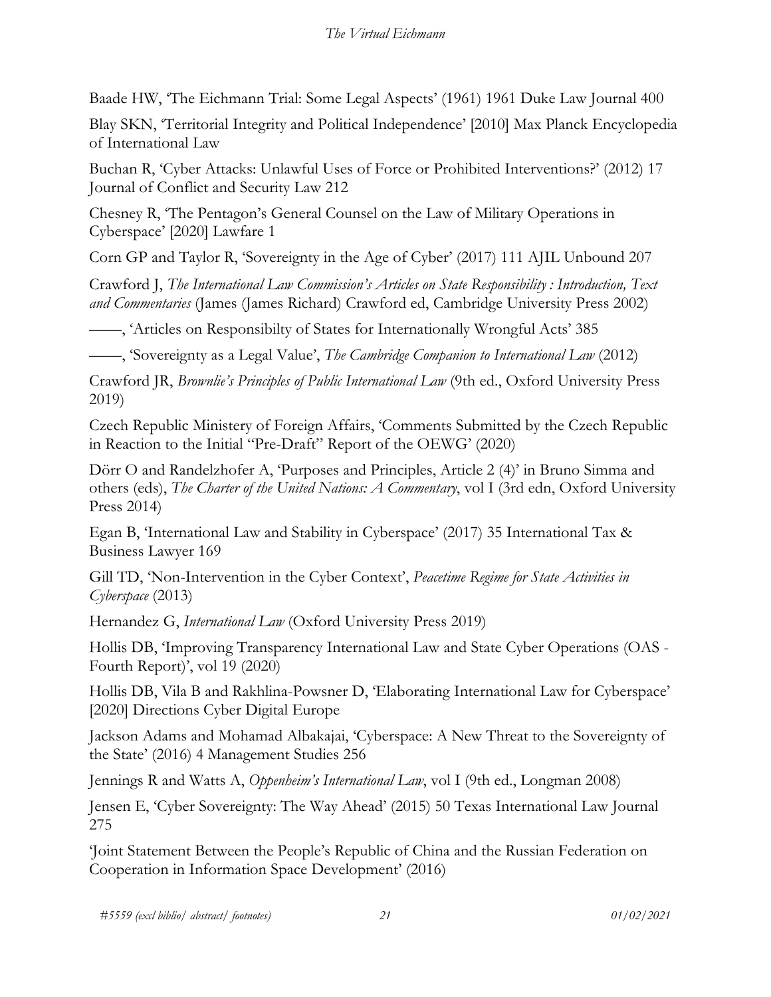Baade HW, 'The Eichmann Trial: Some Legal Aspects' (1961) 1961 Duke Law Journal 400

Blay SKN, 'Territorial Integrity and Political Independence' [2010] Max Planck Encyclopedia of International Law

Buchan R, 'Cyber Attacks: Unlawful Uses of Force or Prohibited Interventions?' (2012) 17 Journal of Conflict and Security Law 212

Chesney R, 'The Pentagon's General Counsel on the Law of Military Operations in Cyberspace' [2020] Lawfare 1

Corn GP and Taylor R, 'Sovereignty in the Age of Cyber' (2017) 111 AJIL Unbound 207

Crawford J, *The International Law Commission's Articles on State Responsibility : Introduction, Text and Commentaries* (James (James Richard) Crawford ed, Cambridge University Press 2002)

——, 'Articles on Responsibilty of States for Internationally Wrongful Acts' 385

——, 'Sovereignty as a Legal Value', *The Cambridge Companion to International Law* (2012)

Crawford JR, *Brownlie's Principles of Public International Law* (9th ed., Oxford University Press 2019)

Czech Republic Ministery of Foreign Affairs, 'Comments Submitted by the Czech Republic in Reaction to the Initial "Pre-Draft" Report of the OEWG' (2020)

Dörr O and Randelzhofer A, 'Purposes and Principles, Article 2 (4)' in Bruno Simma and others (eds), *The Charter of the United Nations: A Commentary*, vol I (3rd edn, Oxford University Press 2014)

Egan B, 'International Law and Stability in Cyberspace' (2017) 35 International Tax & Business Lawyer 169

Gill TD, 'Non-Intervention in the Cyber Context', *Peacetime Regime for State Activities in Cyberspace* (2013)

Hernandez G, *International Law* (Oxford University Press 2019)

Hollis DB, 'Improving Transparency International Law and State Cyber Operations (OAS - Fourth Report)', vol 19 (2020)

Hollis DB, Vila B and Rakhlina-Powsner D, 'Elaborating International Law for Cyberspace' [2020] Directions Cyber Digital Europe

Jackson Adams and Mohamad Albakajai, 'Cyberspace: A New Threat to the Sovereignty of the State' (2016) 4 Management Studies 256

Jennings R and Watts A, *Oppenheim's International Law*, vol I (9th ed., Longman 2008)

Jensen E, 'Cyber Sovereignty: The Way Ahead' (2015) 50 Texas International Law Journal 275

'Joint Statement Between the People's Republic of China and the Russian Federation on Cooperation in Information Space Development' (2016)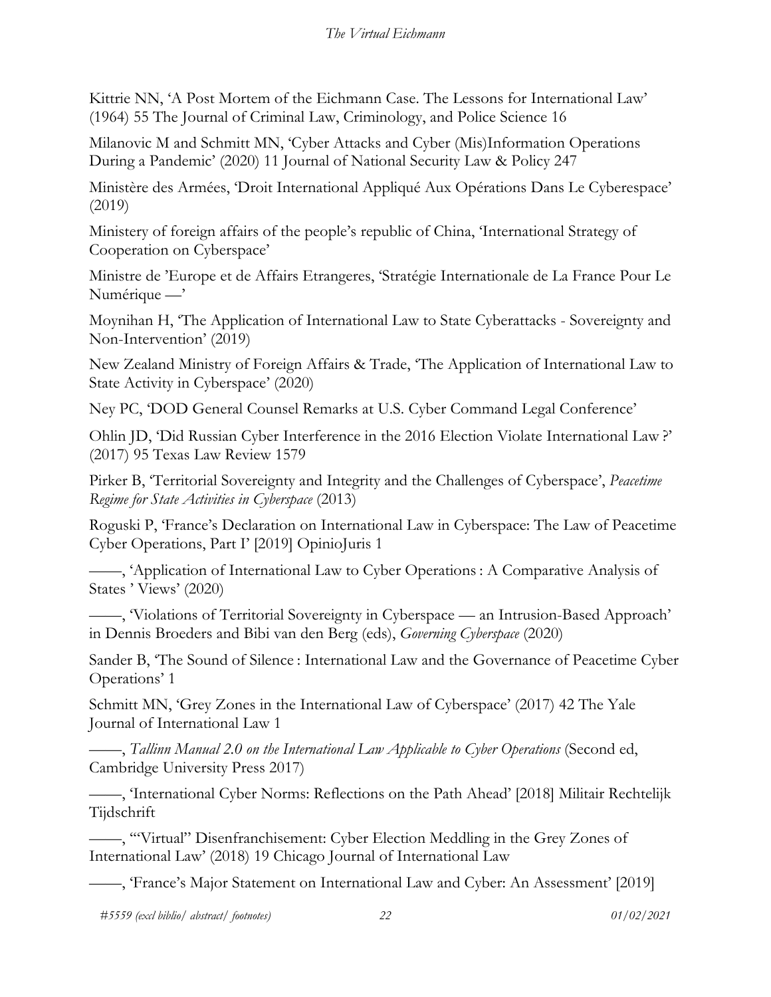Kittrie NN, 'A Post Mortem of the Eichmann Case. The Lessons for International Law' (1964) 55 The Journal of Criminal Law, Criminology, and Police Science 16

Milanovic M and Schmitt MN, 'Cyber Attacks and Cyber (Mis)Information Operations During a Pandemic' (2020) 11 Journal of National Security Law & Policy 247

Ministère des Armées, 'Droit International Appliqué Aux Opérations Dans Le Cyberespace' (2019)

Ministery of foreign affairs of the people's republic of China, 'International Strategy of Cooperation on Cyberspace'

Ministre de 'Europe et de Affairs Etrangeres, 'Stratégie Internationale de La France Pour Le Numérique —'

Moynihan H, 'The Application of International Law to State Cyberattacks - Sovereignty and Non-Intervention' (2019)

New Zealand Ministry of Foreign Affairs & Trade, 'The Application of International Law to State Activity in Cyberspace' (2020)

Ney PC, 'DOD General Counsel Remarks at U.S. Cyber Command Legal Conference'

Ohlin JD, 'Did Russian Cyber Interference in the 2016 Election Violate International Law ?' (2017) 95 Texas Law Review 1579

Pirker B, 'Territorial Sovereignty and Integrity and the Challenges of Cyberspace', *Peacetime Regime for State Activities in Cyberspace* (2013)

Roguski P, 'France's Declaration on International Law in Cyberspace: The Law of Peacetime Cyber Operations, Part I' [2019] OpinioJuris 1

——, 'Application of International Law to Cyber Operations : A Comparative Analysis of States ' Views' (2020)

——, 'Violations of Territorial Sovereignty in Cyberspace — an Intrusion-Based Approach' in Dennis Broeders and Bibi van den Berg (eds), *Governing Cyberspace* (2020)

Sander B, 'The Sound of Silence : International Law and the Governance of Peacetime Cyber Operations' 1

Schmitt MN, 'Grey Zones in the International Law of Cyberspace' (2017) 42 The Yale Journal of International Law 1

——, *Tallinn Manual 2.0 on the International Law Applicable to Cyber Operations* (Second ed, Cambridge University Press 2017)

——, 'International Cyber Norms: Reflections on the Path Ahead' [2018] Militair Rechtelijk Tijdschrift

——, '"Virtual" Disenfranchisement: Cyber Election Meddling in the Grey Zones of International Law' (2018) 19 Chicago Journal of International Law

——, 'France's Major Statement on International Law and Cyber: An Assessment' [2019]

*#5559 (excl biblio/ abstract/ footnotes) 22 01/02/2021*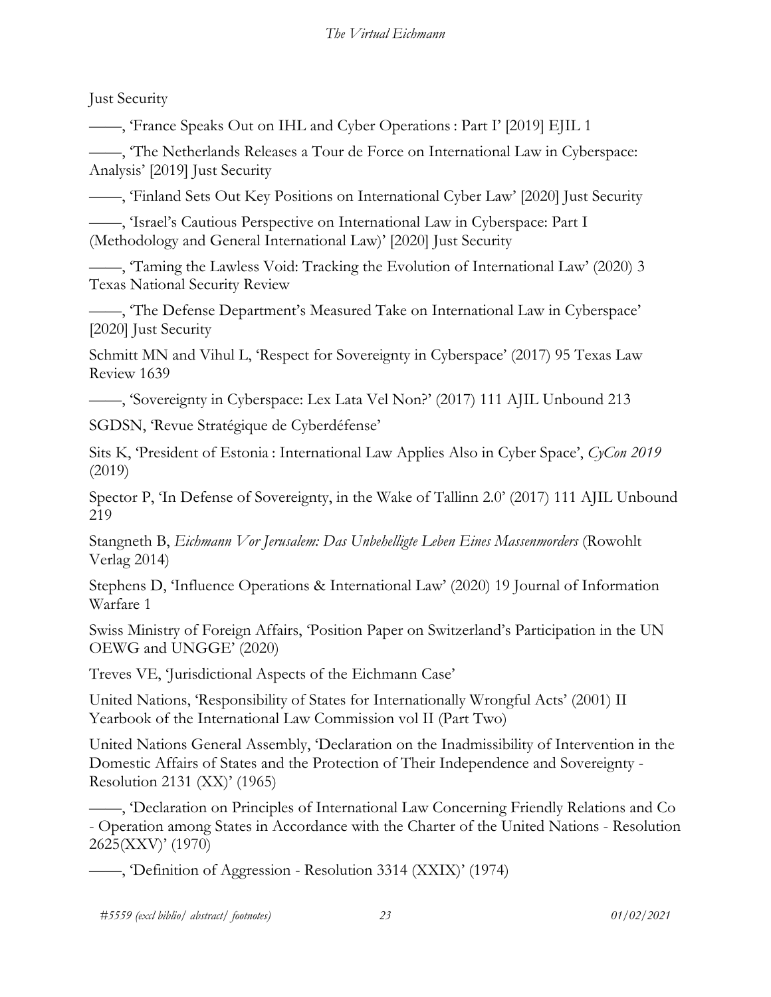Just Security

——, 'France Speaks Out on IHL and Cyber Operations : Part I' [2019] EJIL 1

——, 'The Netherlands Releases a Tour de Force on International Law in Cyberspace: Analysis' [2019] Just Security

——, 'Finland Sets Out Key Positions on International Cyber Law' [2020] Just Security

——, 'Israel's Cautious Perspective on International Law in Cyberspace: Part I (Methodology and General International Law)' [2020] Just Security

——, 'Taming the Lawless Void: Tracking the Evolution of International Law' (2020) 3 Texas National Security Review

——, 'The Defense Department's Measured Take on International Law in Cyberspace' [2020] Just Security

Schmitt MN and Vihul L, 'Respect for Sovereignty in Cyberspace' (2017) 95 Texas Law Review 1639

——, 'Sovereignty in Cyberspace: Lex Lata Vel Non?' (2017) 111 AJIL Unbound 213

SGDSN, 'Revue Stratégique de Cyberdéfense'

Sits K, 'President of Estonia : International Law Applies Also in Cyber Space', *CyCon 2019* (2019)

Spector P, 'In Defense of Sovereignty, in the Wake of Tallinn 2.0' (2017) 111 AJIL Unbound 219

Stangneth B, *Eichmann Vor Jerusalem: Das Unbehelligte Leben Eines Massenmorders* (Rowohlt Verlag 2014)

Stephens D, 'Influence Operations & International Law' (2020) 19 Journal of Information Warfare 1

Swiss Ministry of Foreign Affairs, 'Position Paper on Switzerland's Participation in the UN OEWG and UNGGE' (2020)

Treves VE, 'Jurisdictional Aspects of the Eichmann Case'

United Nations, 'Responsibility of States for Internationally Wrongful Acts' (2001) II Yearbook of the International Law Commission vol II (Part Two)

United Nations General Assembly, 'Declaration on the Inadmissibility of Intervention in the Domestic Affairs of States and the Protection of Their Independence and Sovereignty - Resolution 2131 (XX)' (1965)

——, 'Declaration on Principles of International Law Concerning Friendly Relations and Co Operation among States in Accordance with the Charter of the United Nations - Resolution 2625(XXV)' (1970)

——, 'Definition of Aggression - Resolution 3314 (XXIX)' (1974)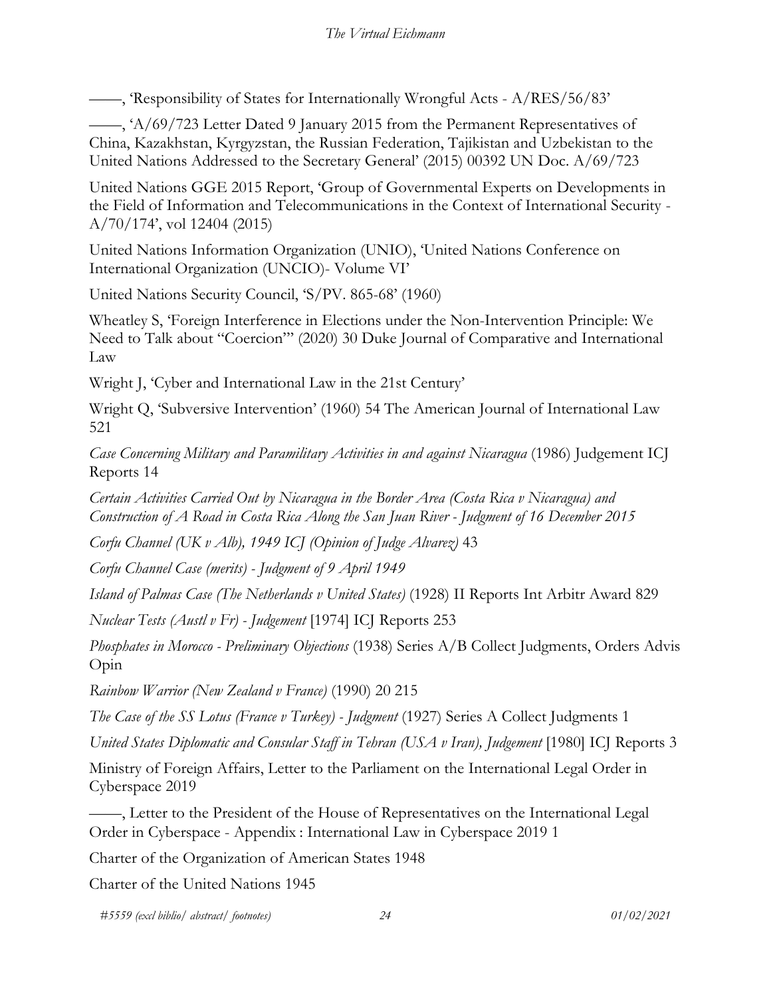——, 'Responsibility of States for Internationally Wrongful Acts - A/RES/56/83'

——, 'A/69/723 Letter Dated 9 January 2015 from the Permanent Representatives of China, Kazakhstan, Kyrgyzstan, the Russian Federation, Tajikistan and Uzbekistan to the United Nations Addressed to the Secretary General' (2015) 00392 UN Doc. A/69/723

United Nations GGE 2015 Report, 'Group of Governmental Experts on Developments in the Field of Information and Telecommunications in the Context of International Security - A/70/174', vol 12404 (2015)

United Nations Information Organization (UNIO), 'United Nations Conference on International Organization (UNCIO)- Volume VI'

United Nations Security Council, 'S/PV. 865-68' (1960)

Wheatley S, 'Foreign Interference in Elections under the Non-Intervention Principle: We Need to Talk about "Coercion"' (2020) 30 Duke Journal of Comparative and International Law

Wright J, 'Cyber and International Law in the 21st Century'

Wright Q, 'Subversive Intervention' (1960) 54 The American Journal of International Law 521

*Case Concerning Military and Paramilitary Activities in and against Nicaragua* (1986) Judgement ICJ Reports 14

*Certain Activities Carried Out by Nicaragua in the Border Area (Costa Rica v Nicaragua) and Construction of A Road in Costa Rica Along the San Juan River - Judgment of 16 December 2015*

*Corfu Channel (UK v Alb), 1949 ICJ (Opinion of Judge Alvarez)* 43

*Corfu Channel Case (merits) - Judgment of 9 April 1949*

*Island of Palmas Case (The Netherlands v United States)* (1928) II Reports Int Arbitr Award 829

*Nuclear Tests (Austl v Fr) - Judgement* [1974] ICJ Reports 253

*Phosphates in Morocco - Preliminary Objections* (1938) Series A/B Collect Judgments, Orders Advis Opin

*Rainbow Warrior (New Zealand v France)* (1990) 20 215

*The Case of the SS Lotus (France v Turkey) - Judgment* (1927) Series A Collect Judgments 1

*United States Diplomatic and Consular Staff in Tehran (USA v Iran), Judgement* [1980] ICJ Reports 3

Ministry of Foreign Affairs, Letter to the Parliament on the International Legal Order in Cyberspace 2019

——, Letter to the President of the House of Representatives on the International Legal Order in Cyberspace - Appendix : International Law in Cyberspace 2019 1

Charter of the Organization of American States 1948

Charter of the United Nations 1945

*#5559 (excl biblio/ abstract/ footnotes) 24 01/02/2021*